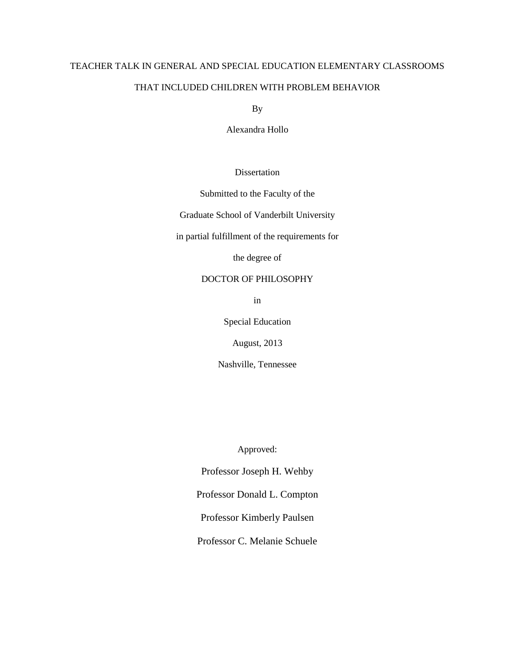# TEACHER TALK IN GENERAL AND SPECIAL EDUCATION ELEMENTARY CLASSROOMS

# THAT INCLUDED CHILDREN WITH PROBLEM BEHAVIOR

By

Alexandra Hollo

Dissertation

Submitted to the Faculty of the

Graduate School of Vanderbilt University

in partial fulfillment of the requirements for

the degree of

# DOCTOR OF PHILOSOPHY

in

Special Education

August, 2013

Nashville, Tennessee

Approved:

Professor Joseph H. Wehby

Professor Donald L. Compton

Professor Kimberly Paulsen

Professor C. Melanie Schuele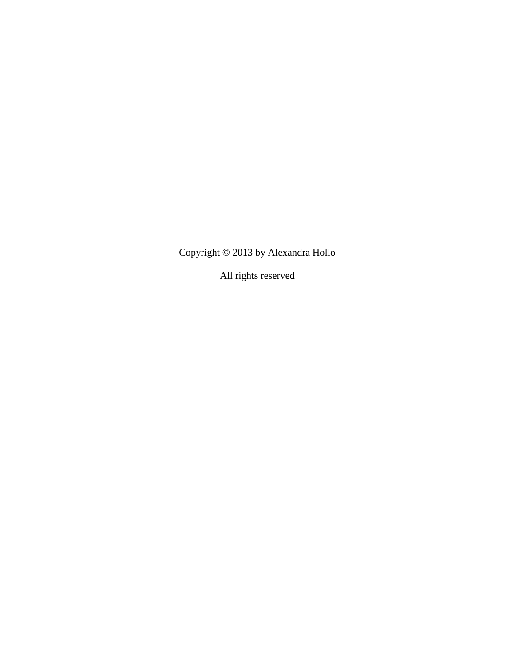Copyright © 2013 by Alexandra Hollo

All rights reserved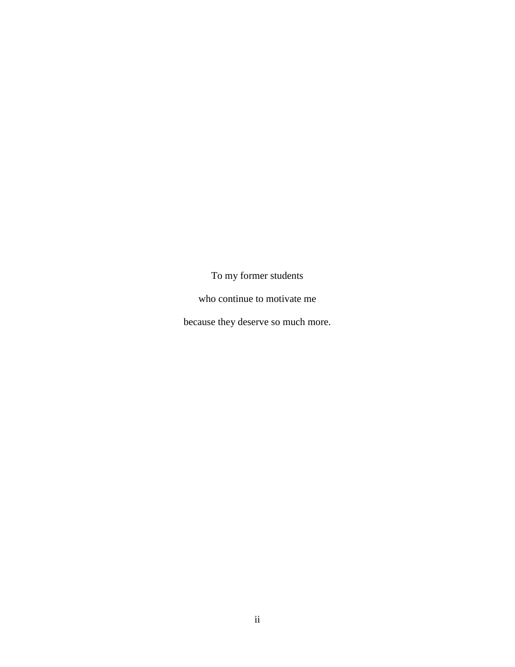To my former students

who continue to motivate me

because they deserve so much more.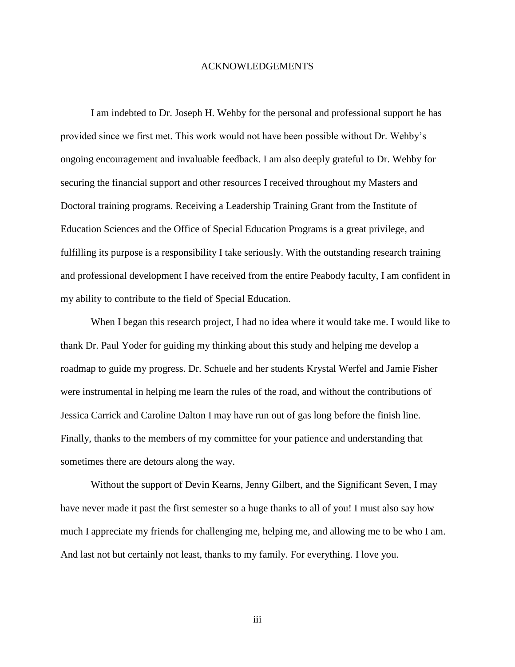#### ACKNOWLEDGEMENTS

I am indebted to Dr. Joseph H. Wehby for the personal and professional support he has provided since we first met. This work would not have been possible without Dr. Wehby's ongoing encouragement and invaluable feedback. I am also deeply grateful to Dr. Wehby for securing the financial support and other resources I received throughout my Masters and Doctoral training programs. Receiving a Leadership Training Grant from the Institute of Education Sciences and the Office of Special Education Programs is a great privilege, and fulfilling its purpose is a responsibility I take seriously. With the outstanding research training and professional development I have received from the entire Peabody faculty, I am confident in my ability to contribute to the field of Special Education.

When I began this research project, I had no idea where it would take me. I would like to thank Dr. Paul Yoder for guiding my thinking about this study and helping me develop a roadmap to guide my progress. Dr. Schuele and her students Krystal Werfel and Jamie Fisher were instrumental in helping me learn the rules of the road, and without the contributions of Jessica Carrick and Caroline Dalton I may have run out of gas long before the finish line. Finally, thanks to the members of my committee for your patience and understanding that sometimes there are detours along the way.

Without the support of Devin Kearns, Jenny Gilbert, and the Significant Seven, I may have never made it past the first semester so a huge thanks to all of you! I must also say how much I appreciate my friends for challenging me, helping me, and allowing me to be who I am. And last not but certainly not least, thanks to my family. For everything. I love you.

iii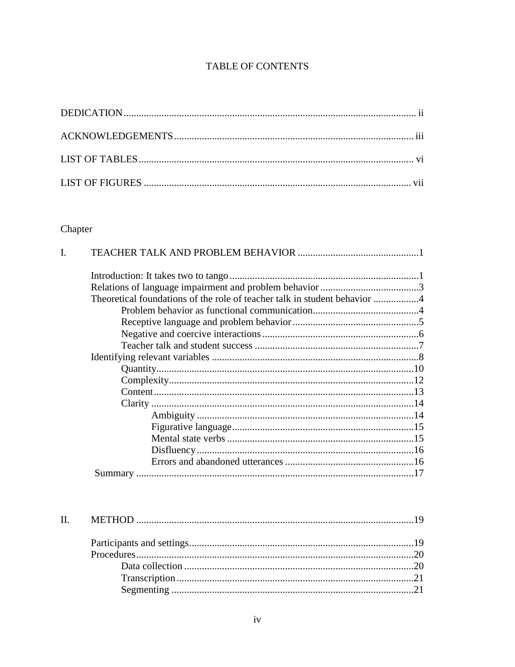# TABLE OF CONTENTS

# Chapter

| Theoretical foundations of the role of teacher talk in student behavior 4 |  |
|---------------------------------------------------------------------------|--|
|                                                                           |  |
|                                                                           |  |
|                                                                           |  |
|                                                                           |  |
|                                                                           |  |
|                                                                           |  |
|                                                                           |  |
|                                                                           |  |
|                                                                           |  |
|                                                                           |  |
|                                                                           |  |
|                                                                           |  |
|                                                                           |  |
|                                                                           |  |
|                                                                           |  |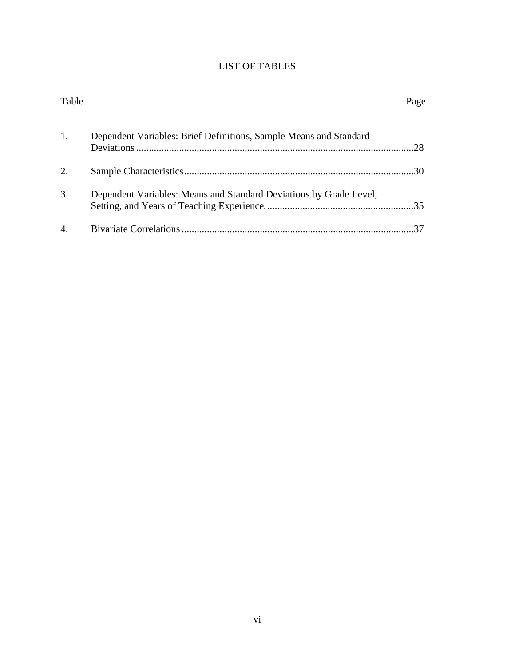# LIST OF TABLES

| Table            |                                                                    | Page |
|------------------|--------------------------------------------------------------------|------|
| 1.               | Dependent Variables: Brief Definitions, Sample Means and Standard  | .28  |
| 2.               |                                                                    | 30   |
| 3.               | Dependent Variables: Means and Standard Deviations by Grade Level, |      |
| $\overline{4}$ . |                                                                    |      |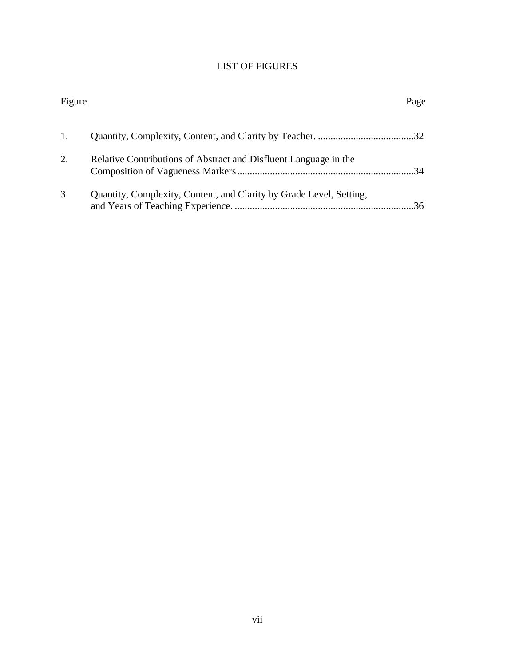# LIST OF FIGURES

| Figure |                                                                     | Page |
|--------|---------------------------------------------------------------------|------|
|        |                                                                     |      |
| 2.     | Relative Contributions of Abstract and Disfluent Language in the    | 34   |
| 3.     | Quantity, Complexity, Content, and Clarity by Grade Level, Setting, | 36   |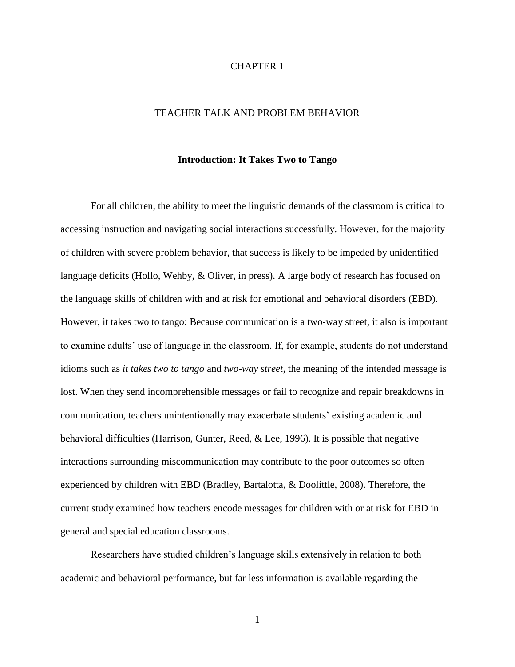# CHAPTER 1

# TEACHER TALK AND PROBLEM BEHAVIOR

#### **Introduction: It Takes Two to Tango**

For all children, the ability to meet the linguistic demands of the classroom is critical to accessing instruction and navigating social interactions successfully. However, for the majority of children with severe problem behavior, that success is likely to be impeded by unidentified language deficits (Hollo, Wehby, & Oliver, in press). A large body of research has focused on the language skills of children with and at risk for emotional and behavioral disorders (EBD). However, it takes two to tango: Because communication is a two-way street, it also is important to examine adults' use of language in the classroom. If, for example, students do not understand idioms such as *it takes two to tango* and *two-way street*, the meaning of the intended message is lost. When they send incomprehensible messages or fail to recognize and repair breakdowns in communication, teachers unintentionally may exacerbate students' existing academic and behavioral difficulties (Harrison, Gunter, Reed, & Lee, 1996). It is possible that negative interactions surrounding miscommunication may contribute to the poor outcomes so often experienced by children with EBD (Bradley, Bartalotta, & Doolittle, 2008). Therefore, the current study examined how teachers encode messages for children with or at risk for EBD in general and special education classrooms.

Researchers have studied children's language skills extensively in relation to both academic and behavioral performance, but far less information is available regarding the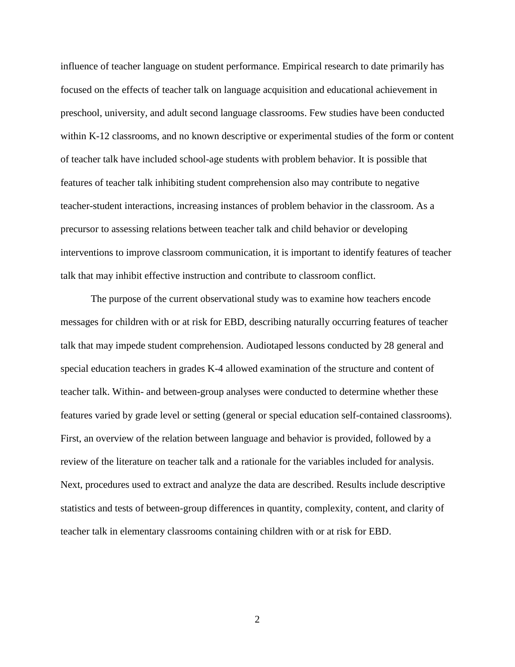influence of teacher language on student performance. Empirical research to date primarily has focused on the effects of teacher talk on language acquisition and educational achievement in preschool, university, and adult second language classrooms. Few studies have been conducted within K-12 classrooms, and no known descriptive or experimental studies of the form or content of teacher talk have included school-age students with problem behavior. It is possible that features of teacher talk inhibiting student comprehension also may contribute to negative teacher-student interactions, increasing instances of problem behavior in the classroom. As a precursor to assessing relations between teacher talk and child behavior or developing interventions to improve classroom communication, it is important to identify features of teacher talk that may inhibit effective instruction and contribute to classroom conflict.

The purpose of the current observational study was to examine how teachers encode messages for children with or at risk for EBD, describing naturally occurring features of teacher talk that may impede student comprehension. Audiotaped lessons conducted by 28 general and special education teachers in grades K-4 allowed examination of the structure and content of teacher talk. Within- and between-group analyses were conducted to determine whether these features varied by grade level or setting (general or special education self-contained classrooms). First, an overview of the relation between language and behavior is provided, followed by a review of the literature on teacher talk and a rationale for the variables included for analysis. Next, procedures used to extract and analyze the data are described. Results include descriptive statistics and tests of between-group differences in quantity, complexity, content, and clarity of teacher talk in elementary classrooms containing children with or at risk for EBD.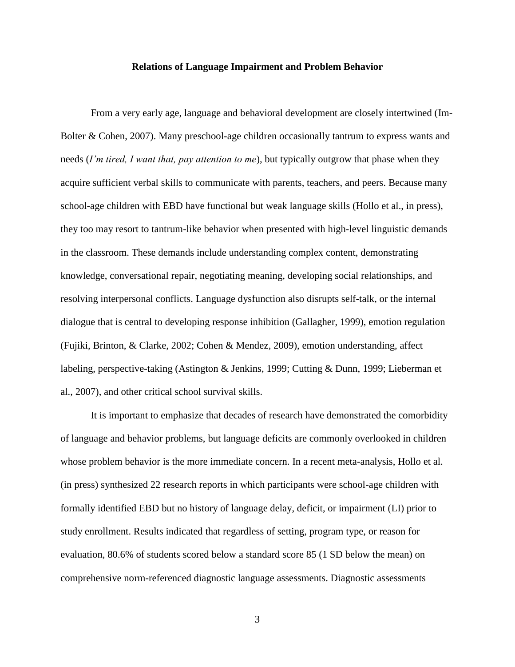### **Relations of Language Impairment and Problem Behavior**

From a very early age, language and behavioral development are closely intertwined (Im-Bolter & Cohen, 2007). Many preschool-age children occasionally tantrum to express wants and needs (*I'm tired, I want that, pay attention to me*), but typically outgrow that phase when they acquire sufficient verbal skills to communicate with parents, teachers, and peers. Because many school-age children with EBD have functional but weak language skills (Hollo et al., in press), they too may resort to tantrum-like behavior when presented with high-level linguistic demands in the classroom. These demands include understanding complex content, demonstrating knowledge, conversational repair, negotiating meaning, developing social relationships, and resolving interpersonal conflicts. Language dysfunction also disrupts self-talk, or the internal dialogue that is central to developing response inhibition (Gallagher, 1999), emotion regulation (Fujiki, Brinton, & Clarke, 2002; Cohen & Mendez, 2009), emotion understanding, affect labeling, perspective-taking (Astington & Jenkins, 1999; Cutting & Dunn, 1999; Lieberman et al., 2007), and other critical school survival skills.

It is important to emphasize that decades of research have demonstrated the comorbidity of language and behavior problems, but language deficits are commonly overlooked in children whose problem behavior is the more immediate concern. In a recent meta-analysis, Hollo et al. (in press) synthesized 22 research reports in which participants were school-age children with formally identified EBD but no history of language delay, deficit, or impairment (LI) prior to study enrollment. Results indicated that regardless of setting, program type, or reason for evaluation, 80.6% of students scored below a standard score 85 (1 SD below the mean) on comprehensive norm-referenced diagnostic language assessments. Diagnostic assessments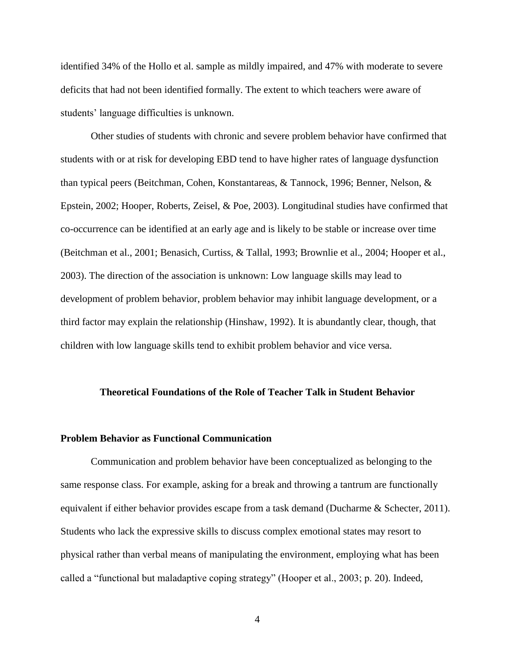identified 34% of the Hollo et al. sample as mildly impaired, and 47% with moderate to severe deficits that had not been identified formally. The extent to which teachers were aware of students' language difficulties is unknown.

Other studies of students with chronic and severe problem behavior have confirmed that students with or at risk for developing EBD tend to have higher rates of language dysfunction than typical peers (Beitchman, Cohen, Konstantareas, & Tannock, 1996; Benner, Nelson, & Epstein, 2002; Hooper, Roberts, Zeisel, & Poe, 2003). Longitudinal studies have confirmed that co-occurrence can be identified at an early age and is likely to be stable or increase over time (Beitchman et al., 2001; Benasich, Curtiss, & Tallal, 1993; Brownlie et al., 2004; Hooper et al., 2003). The direction of the association is unknown: Low language skills may lead to development of problem behavior, problem behavior may inhibit language development, or a third factor may explain the relationship (Hinshaw, 1992). It is abundantly clear, though, that children with low language skills tend to exhibit problem behavior and vice versa.

### **Theoretical Foundations of the Role of Teacher Talk in Student Behavior**

#### **Problem Behavior as Functional Communication**

Communication and problem behavior have been conceptualized as belonging to the same response class. For example, asking for a break and throwing a tantrum are functionally equivalent if either behavior provides escape from a task demand (Ducharme & Schecter, 2011). Students who lack the expressive skills to discuss complex emotional states may resort to physical rather than verbal means of manipulating the environment, employing what has been called a "functional but maladaptive coping strategy" (Hooper et al., 2003; p. 20). Indeed,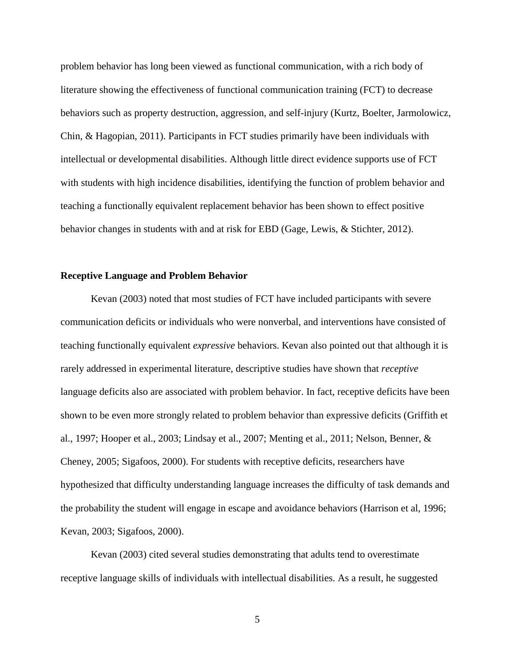problem behavior has long been viewed as functional communication, with a rich body of literature showing the effectiveness of functional communication training (FCT) to decrease behaviors such as property destruction, aggression, and self-injury (Kurtz, Boelter, Jarmolowicz, Chin, & Hagopian, 2011). Participants in FCT studies primarily have been individuals with intellectual or developmental disabilities. Although little direct evidence supports use of FCT with students with high incidence disabilities, identifying the function of problem behavior and teaching a functionally equivalent replacement behavior has been shown to effect positive behavior changes in students with and at risk for EBD (Gage, Lewis, & Stichter, 2012).

# **Receptive Language and Problem Behavior**

Kevan (2003) noted that most studies of FCT have included participants with severe communication deficits or individuals who were nonverbal, and interventions have consisted of teaching functionally equivalent *expressive* behaviors. Kevan also pointed out that although it is rarely addressed in experimental literature, descriptive studies have shown that *receptive* language deficits also are associated with problem behavior. In fact, receptive deficits have been shown to be even more strongly related to problem behavior than expressive deficits (Griffith et al., 1997; Hooper et al., 2003; Lindsay et al., 2007; Menting et al., 2011; Nelson, Benner, & Cheney, 2005; Sigafoos, 2000). For students with receptive deficits, researchers have hypothesized that difficulty understanding language increases the difficulty of task demands and the probability the student will engage in escape and avoidance behaviors (Harrison et al, 1996; Kevan, 2003; Sigafoos, 2000).

Kevan (2003) cited several studies demonstrating that adults tend to overestimate receptive language skills of individuals with intellectual disabilities. As a result, he suggested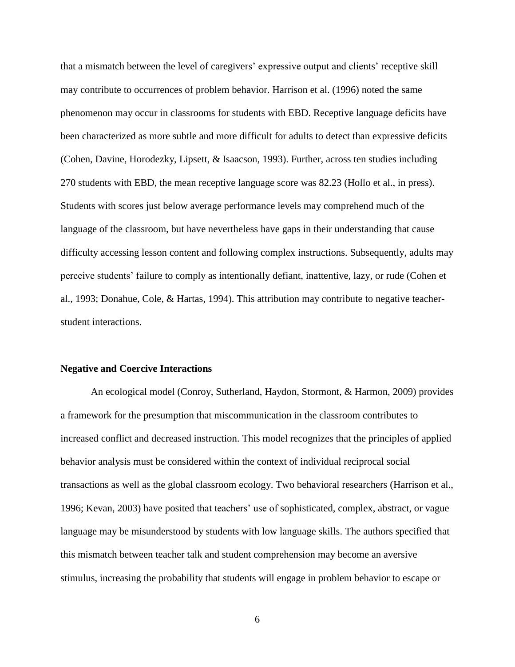that a mismatch between the level of caregivers' expressive output and clients' receptive skill may contribute to occurrences of problem behavior. Harrison et al. (1996) noted the same phenomenon may occur in classrooms for students with EBD. Receptive language deficits have been characterized as more subtle and more difficult for adults to detect than expressive deficits (Cohen, Davine, Horodezky, Lipsett, & Isaacson, 1993). Further, across ten studies including 270 students with EBD, the mean receptive language score was 82.23 (Hollo et al., in press). Students with scores just below average performance levels may comprehend much of the language of the classroom, but have nevertheless have gaps in their understanding that cause difficulty accessing lesson content and following complex instructions. Subsequently, adults may perceive students' failure to comply as intentionally defiant, inattentive, lazy, or rude (Cohen et al., 1993; Donahue, Cole, & Hartas, 1994). This attribution may contribute to negative teacherstudent interactions.

#### **Negative and Coercive Interactions**

An ecological model (Conroy, Sutherland, Haydon, Stormont, & Harmon, 2009) provides a framework for the presumption that miscommunication in the classroom contributes to increased conflict and decreased instruction. This model recognizes that the principles of applied behavior analysis must be considered within the context of individual reciprocal social transactions as well as the global classroom ecology. Two behavioral researchers (Harrison et al., 1996; Kevan, 2003) have posited that teachers' use of sophisticated, complex, abstract, or vague language may be misunderstood by students with low language skills. The authors specified that this mismatch between teacher talk and student comprehension may become an aversive stimulus, increasing the probability that students will engage in problem behavior to escape or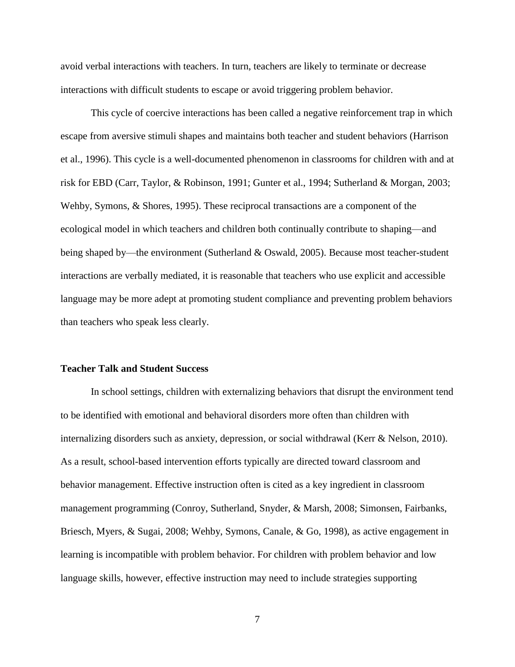avoid verbal interactions with teachers. In turn, teachers are likely to terminate or decrease interactions with difficult students to escape or avoid triggering problem behavior.

This cycle of coercive interactions has been called a negative reinforcement trap in which escape from aversive stimuli shapes and maintains both teacher and student behaviors (Harrison et al., 1996). This cycle is a well-documented phenomenon in classrooms for children with and at risk for EBD (Carr, Taylor, & Robinson, 1991; Gunter et al., 1994; Sutherland & Morgan, 2003; Wehby, Symons, & Shores, 1995). These reciprocal transactions are a component of the ecological model in which teachers and children both continually contribute to shaping—and being shaped by—the environment (Sutherland & Oswald, 2005). Because most teacher-student interactions are verbally mediated, it is reasonable that teachers who use explicit and accessible language may be more adept at promoting student compliance and preventing problem behaviors than teachers who speak less clearly.

#### **Teacher Talk and Student Success**

In school settings, children with externalizing behaviors that disrupt the environment tend to be identified with emotional and behavioral disorders more often than children with internalizing disorders such as anxiety, depression, or social withdrawal (Kerr & Nelson, 2010). As a result, school-based intervention efforts typically are directed toward classroom and behavior management. Effective instruction often is cited as a key ingredient in classroom management programming (Conroy, Sutherland, Snyder, & Marsh, 2008; Simonsen, Fairbanks, Briesch, Myers, & Sugai, 2008; Wehby, Symons, Canale, & Go, 1998), as active engagement in learning is incompatible with problem behavior. For children with problem behavior and low language skills, however, effective instruction may need to include strategies supporting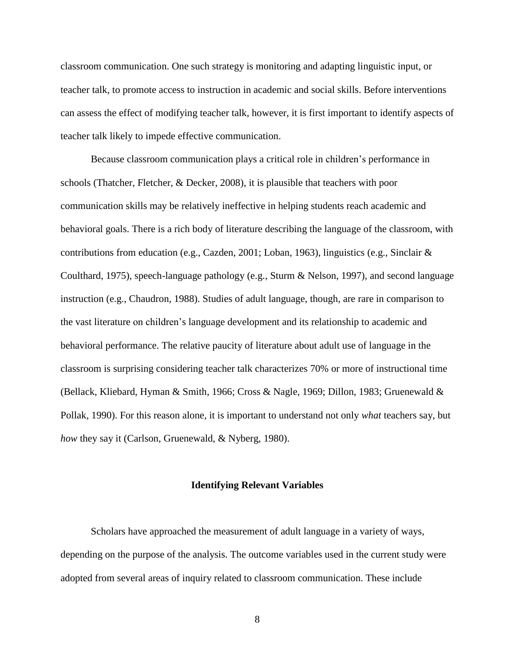classroom communication. One such strategy is monitoring and adapting linguistic input, or teacher talk, to promote access to instruction in academic and social skills. Before interventions can assess the effect of modifying teacher talk, however, it is first important to identify aspects of teacher talk likely to impede effective communication.

Because classroom communication plays a critical role in children's performance in schools (Thatcher, Fletcher, & Decker, 2008), it is plausible that teachers with poor communication skills may be relatively ineffective in helping students reach academic and behavioral goals. There is a rich body of literature describing the language of the classroom, with contributions from education (e.g., Cazden, 2001; Loban, 1963), linguistics (e.g., Sinclair & Coulthard, 1975), speech-language pathology (e.g., Sturm & Nelson, 1997), and second language instruction (e.g., Chaudron, 1988). Studies of adult language, though, are rare in comparison to the vast literature on children's language development and its relationship to academic and behavioral performance. The relative paucity of literature about adult use of language in the classroom is surprising considering teacher talk characterizes 70% or more of instructional time (Bellack, Kliebard, Hyman & Smith, 1966; Cross & Nagle, 1969; Dillon, 1983; Gruenewald & Pollak, 1990). For this reason alone, it is important to understand not only *what* teachers say, but *how* they say it (Carlson, Gruenewald, & Nyberg, 1980).

#### **Identifying Relevant Variables**

Scholars have approached the measurement of adult language in a variety of ways, depending on the purpose of the analysis. The outcome variables used in the current study were adopted from several areas of inquiry related to classroom communication. These include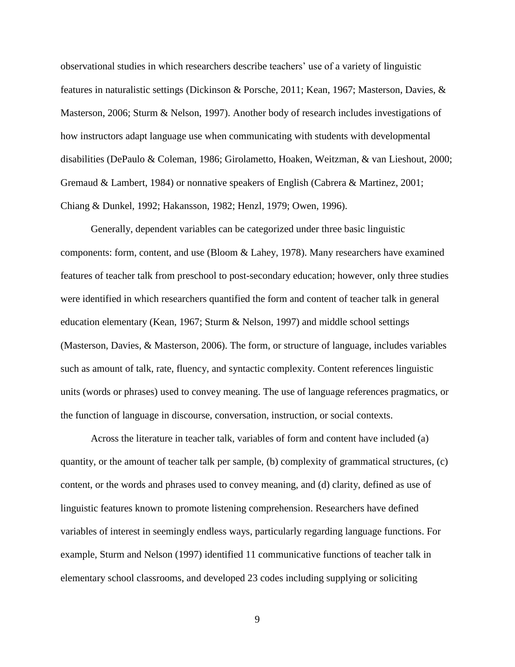observational studies in which researchers describe teachers' use of a variety of linguistic features in naturalistic settings (Dickinson & Porsche, 2011; Kean, 1967; Masterson, Davies, & Masterson, 2006; Sturm & Nelson, 1997). Another body of research includes investigations of how instructors adapt language use when communicating with students with developmental disabilities (DePaulo & Coleman, 1986; Girolametto, Hoaken, Weitzman, & van Lieshout, 2000; Gremaud & Lambert, 1984) or nonnative speakers of English (Cabrera & Martinez, 2001; Chiang & Dunkel, 1992; Hakansson, 1982; Henzl, 1979; Owen, 1996).

Generally, dependent variables can be categorized under three basic linguistic components: form, content, and use (Bloom & Lahey, 1978). Many researchers have examined features of teacher talk from preschool to post-secondary education; however, only three studies were identified in which researchers quantified the form and content of teacher talk in general education elementary (Kean, 1967; Sturm & Nelson, 1997) and middle school settings (Masterson, Davies, & Masterson, 2006). The form, or structure of language, includes variables such as amount of talk, rate, fluency, and syntactic complexity. Content references linguistic units (words or phrases) used to convey meaning. The use of language references pragmatics, or the function of language in discourse, conversation, instruction, or social contexts.

Across the literature in teacher talk, variables of form and content have included (a) quantity, or the amount of teacher talk per sample, (b) complexity of grammatical structures, (c) content, or the words and phrases used to convey meaning, and (d) clarity, defined as use of linguistic features known to promote listening comprehension. Researchers have defined variables of interest in seemingly endless ways, particularly regarding language functions. For example, Sturm and Nelson (1997) identified 11 communicative functions of teacher talk in elementary school classrooms, and developed 23 codes including supplying or soliciting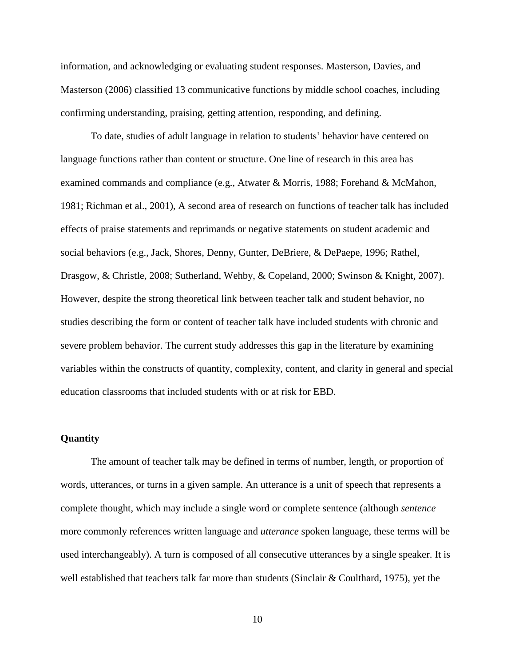information, and acknowledging or evaluating student responses. Masterson, Davies, and Masterson (2006) classified 13 communicative functions by middle school coaches, including confirming understanding, praising, getting attention, responding, and defining.

To date, studies of adult language in relation to students' behavior have centered on language functions rather than content or structure. One line of research in this area has examined commands and compliance (e.g., Atwater & Morris, 1988; Forehand & McMahon, 1981; Richman et al., 2001), A second area of research on functions of teacher talk has included effects of praise statements and reprimands or negative statements on student academic and social behaviors (e.g., Jack, Shores, Denny, Gunter, DeBriere, & DePaepe, 1996; Rathel, Drasgow, & Christle, 2008; Sutherland, Wehby, & Copeland, 2000; Swinson & Knight, 2007). However, despite the strong theoretical link between teacher talk and student behavior, no studies describing the form or content of teacher talk have included students with chronic and severe problem behavior. The current study addresses this gap in the literature by examining variables within the constructs of quantity, complexity, content, and clarity in general and special education classrooms that included students with or at risk for EBD.

## **Quantity**

The amount of teacher talk may be defined in terms of number, length, or proportion of words, utterances, or turns in a given sample. An utterance is a unit of speech that represents a complete thought, which may include a single word or complete sentence (although *sentence* more commonly references written language and *utterance* spoken language, these terms will be used interchangeably). A turn is composed of all consecutive utterances by a single speaker. It is well established that teachers talk far more than students (Sinclair & Coulthard, 1975), yet the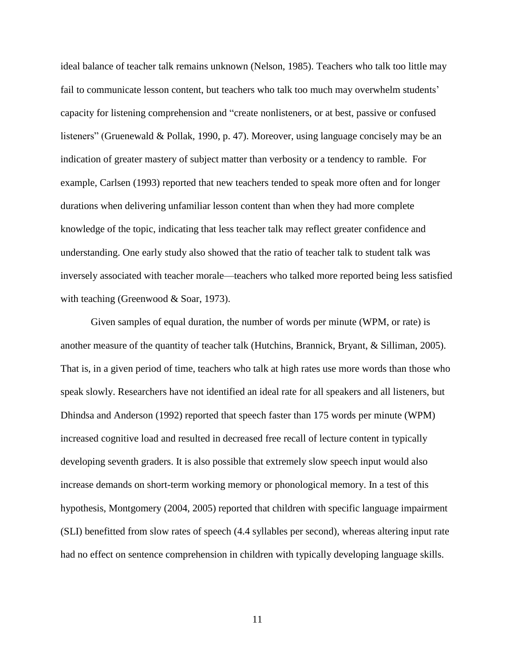ideal balance of teacher talk remains unknown (Nelson, 1985). Teachers who talk too little may fail to communicate lesson content, but teachers who talk too much may overwhelm students' capacity for listening comprehension and "create nonlisteners, or at best, passive or confused listeners" (Gruenewald & Pollak, 1990, p. 47). Moreover, using language concisely may be an indication of greater mastery of subject matter than verbosity or a tendency to ramble. For example, Carlsen (1993) reported that new teachers tended to speak more often and for longer durations when delivering unfamiliar lesson content than when they had more complete knowledge of the topic, indicating that less teacher talk may reflect greater confidence and understanding. One early study also showed that the ratio of teacher talk to student talk was inversely associated with teacher morale—teachers who talked more reported being less satisfied with teaching (Greenwood & Soar, 1973).

Given samples of equal duration, the number of words per minute (WPM, or rate) is another measure of the quantity of teacher talk (Hutchins, Brannick, Bryant, & Silliman, 2005). That is, in a given period of time, teachers who talk at high rates use more words than those who speak slowly. Researchers have not identified an ideal rate for all speakers and all listeners, but Dhindsa and Anderson (1992) reported that speech faster than 175 words per minute (WPM) increased cognitive load and resulted in decreased free recall of lecture content in typically developing seventh graders. It is also possible that extremely slow speech input would also increase demands on short-term working memory or phonological memory. In a test of this hypothesis, Montgomery (2004, 2005) reported that children with specific language impairment (SLI) benefitted from slow rates of speech (4.4 syllables per second), whereas altering input rate had no effect on sentence comprehension in children with typically developing language skills.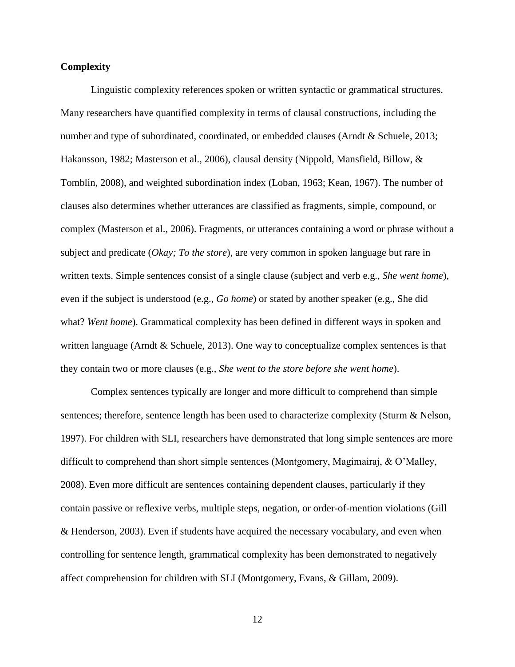# **Complexity**

Linguistic complexity references spoken or written syntactic or grammatical structures. Many researchers have quantified complexity in terms of clausal constructions, including the number and type of subordinated, coordinated, or embedded clauses (Arndt & Schuele, 2013; Hakansson, 1982; Masterson et al., 2006), clausal density (Nippold, Mansfield, Billow, & Tomblin, 2008), and weighted subordination index (Loban, 1963; Kean, 1967). The number of clauses also determines whether utterances are classified as fragments, simple, compound, or complex (Masterson et al., 2006). Fragments, or utterances containing a word or phrase without a subject and predicate (*Okay; To the store*), are very common in spoken language but rare in written texts. Simple sentences consist of a single clause (subject and verb e.g., *She went home*), even if the subject is understood (e.g., *Go home*) or stated by another speaker (e.g., She did what? *Went home*). Grammatical complexity has been defined in different ways in spoken and written language (Arndt & Schuele, 2013). One way to conceptualize complex sentences is that they contain two or more clauses (e.g., *She went to the store before she went home*).

Complex sentences typically are longer and more difficult to comprehend than simple sentences; therefore, sentence length has been used to characterize complexity (Sturm & Nelson, 1997). For children with SLI, researchers have demonstrated that long simple sentences are more difficult to comprehend than short simple sentences (Montgomery, Magimairaj, & O'Malley, 2008). Even more difficult are sentences containing dependent clauses, particularly if they contain passive or reflexive verbs, multiple steps, negation, or order-of-mention violations (Gill & Henderson, 2003). Even if students have acquired the necessary vocabulary, and even when controlling for sentence length, grammatical complexity has been demonstrated to negatively affect comprehension for children with SLI (Montgomery, Evans, & Gillam, 2009).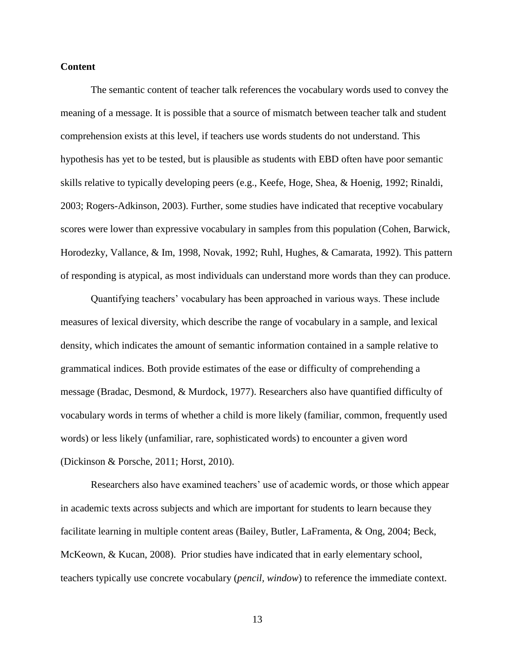# **Content**

The semantic content of teacher talk references the vocabulary words used to convey the meaning of a message. It is possible that a source of mismatch between teacher talk and student comprehension exists at this level, if teachers use words students do not understand. This hypothesis has yet to be tested, but is plausible as students with EBD often have poor semantic skills relative to typically developing peers (e.g., Keefe, Hoge, Shea, & Hoenig, 1992; Rinaldi, 2003; Rogers-Adkinson, 2003). Further, some studies have indicated that receptive vocabulary scores were lower than expressive vocabulary in samples from this population (Cohen, Barwick, Horodezky, Vallance, & Im, 1998, Novak, 1992; Ruhl, Hughes, & Camarata, 1992). This pattern of responding is atypical, as most individuals can understand more words than they can produce.

Quantifying teachers' vocabulary has been approached in various ways. These include measures of lexical diversity, which describe the range of vocabulary in a sample, and lexical density, which indicates the amount of semantic information contained in a sample relative to grammatical indices. Both provide estimates of the ease or difficulty of comprehending a message (Bradac, Desmond, & Murdock, 1977). Researchers also have quantified difficulty of vocabulary words in terms of whether a child is more likely (familiar, common, frequently used words) or less likely (unfamiliar, rare, sophisticated words) to encounter a given word (Dickinson & Porsche, 2011; Horst, 2010).

Researchers also have examined teachers' use of academic words, or those which appear in academic texts across subjects and which are important for students to learn because they facilitate learning in multiple content areas (Bailey, Butler, LaFramenta, & Ong, 2004; Beck, McKeown, & Kucan, 2008). Prior studies have indicated that in early elementary school, teachers typically use concrete vocabulary (*pencil, window*) to reference the immediate context.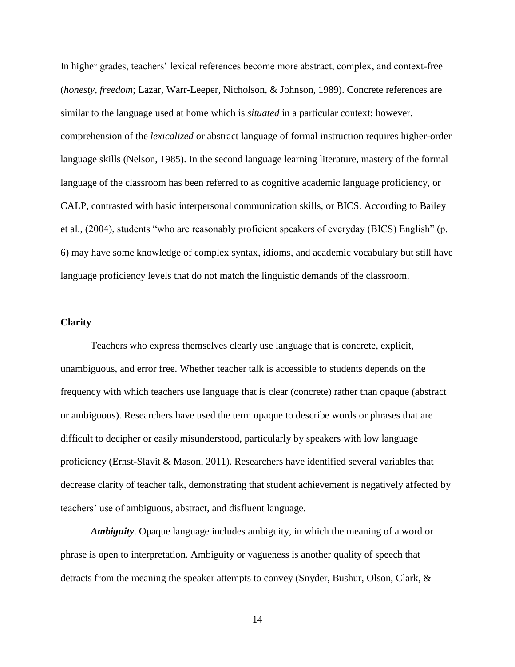In higher grades, teachers' lexical references become more abstract, complex, and context-free (*honesty, freedom*; Lazar, Warr-Leeper, Nicholson, & Johnson, 1989). Concrete references are similar to the language used at home which is *situated* in a particular context; however, comprehension of the *lexicalized* or abstract language of formal instruction requires higher-order language skills (Nelson, 1985). In the second language learning literature, mastery of the formal language of the classroom has been referred to as cognitive academic language proficiency, or CALP, contrasted with basic interpersonal communication skills, or BICS. According to Bailey et al., (2004), students "who are reasonably proficient speakers of everyday (BICS) English" (p. 6) may have some knowledge of complex syntax, idioms, and academic vocabulary but still have language proficiency levels that do not match the linguistic demands of the classroom.

# **Clarity**

Teachers who express themselves clearly use language that is concrete, explicit, unambiguous, and error free. Whether teacher talk is accessible to students depends on the frequency with which teachers use language that is clear (concrete) rather than opaque (abstract or ambiguous). Researchers have used the term opaque to describe words or phrases that are difficult to decipher or easily misunderstood, particularly by speakers with low language proficiency (Ernst-Slavit & Mason, 2011). Researchers have identified several variables that decrease clarity of teacher talk, demonstrating that student achievement is negatively affected by teachers' use of ambiguous, abstract, and disfluent language.

*Ambiguity*. Opaque language includes ambiguity, in which the meaning of a word or phrase is open to interpretation. Ambiguity or vagueness is another quality of speech that detracts from the meaning the speaker attempts to convey (Snyder, Bushur, Olson, Clark, &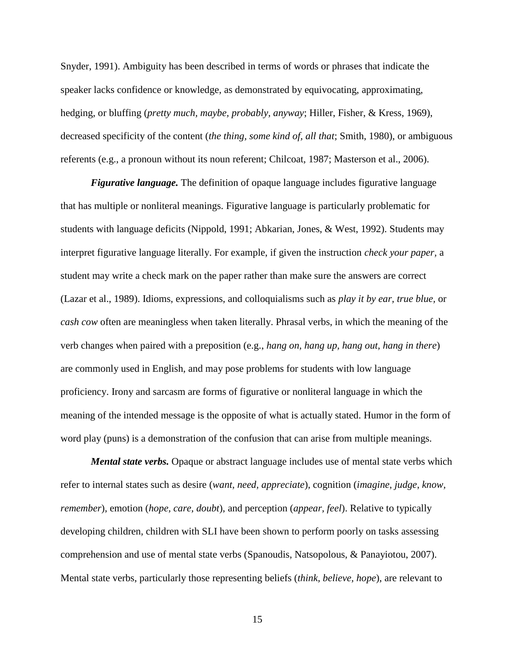Snyder, 1991). Ambiguity has been described in terms of words or phrases that indicate the speaker lacks confidence or knowledge, as demonstrated by equivocating, approximating, hedging, or bluffing (*pretty much, maybe, probably, anyway*; Hiller, Fisher, & Kress, 1969), decreased specificity of the content (*the thing, some kind of, all that*; Smith, 1980), or ambiguous referents (e.g., a pronoun without its noun referent; Chilcoat, 1987; Masterson et al., 2006).

*Figurative language.* The definition of opaque language includes figurative language that has multiple or nonliteral meanings. Figurative language is particularly problematic for students with language deficits (Nippold, 1991; Abkarian, Jones, & West, 1992). Students may interpret figurative language literally. For example, if given the instruction *check your paper,* a student may write a check mark on the paper rather than make sure the answers are correct (Lazar et al., 1989). Idioms, expressions, and colloquialisms such as *play it by ear, true blue,* or *cash cow* often are meaningless when taken literally. Phrasal verbs, in which the meaning of the verb changes when paired with a preposition (e.g., *hang on, hang up, hang out, hang in there*) are commonly used in English, and may pose problems for students with low language proficiency. Irony and sarcasm are forms of figurative or nonliteral language in which the meaning of the intended message is the opposite of what is actually stated. Humor in the form of word play (puns) is a demonstration of the confusion that can arise from multiple meanings.

*Mental state verbs.* Opaque or abstract language includes use of mental state verbs which refer to internal states such as desire (*want, need, appreciate*), cognition (*imagine*, *judge*, *know, remember*), emotion (*hope, care, doubt*), and perception (*appear, feel*). Relative to typically developing children, children with SLI have been shown to perform poorly on tasks assessing comprehension and use of mental state verbs (Spanoudis, Natsopolous, & Panayiotou, 2007). Mental state verbs, particularly those representing beliefs (*think, believe, hope*), are relevant to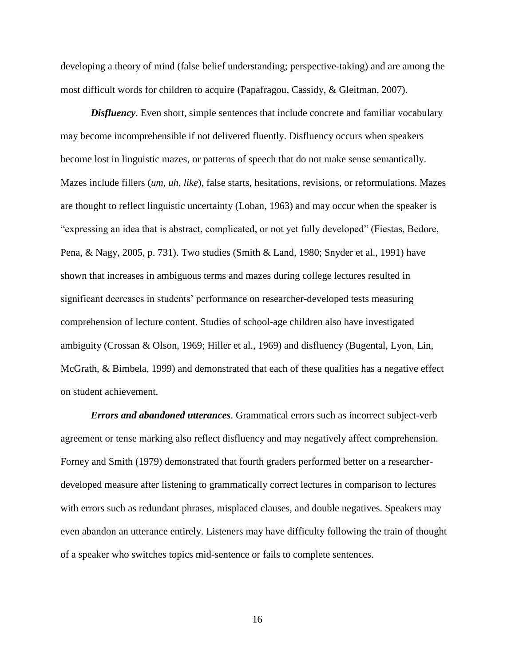developing a theory of mind (false belief understanding; perspective-taking) and are among the most difficult words for children to acquire (Papafragou, Cassidy, & Gleitman, 2007).

*Disfluency*. Even short, simple sentences that include concrete and familiar vocabulary may become incomprehensible if not delivered fluently. Disfluency occurs when speakers become lost in linguistic mazes, or patterns of speech that do not make sense semantically. Mazes include fillers (*um, uh, like*), false starts, hesitations, revisions, or reformulations. Mazes are thought to reflect linguistic uncertainty (Loban, 1963) and may occur when the speaker is "expressing an idea that is abstract, complicated, or not yet fully developed" (Fiestas, Bedore, Pena, & Nagy, 2005, p. 731). Two studies (Smith & Land, 1980; Snyder et al., 1991) have shown that increases in ambiguous terms and mazes during college lectures resulted in significant decreases in students' performance on researcher-developed tests measuring comprehension of lecture content. Studies of school-age children also have investigated ambiguity (Crossan & Olson, 1969; Hiller et al., 1969) and disfluency (Bugental, Lyon, Lin, McGrath, & Bimbela, 1999) and demonstrated that each of these qualities has a negative effect on student achievement.

*Errors and abandoned utterances*. Grammatical errors such as incorrect subject-verb agreement or tense marking also reflect disfluency and may negatively affect comprehension. Forney and Smith (1979) demonstrated that fourth graders performed better on a researcherdeveloped measure after listening to grammatically correct lectures in comparison to lectures with errors such as redundant phrases, misplaced clauses, and double negatives. Speakers may even abandon an utterance entirely. Listeners may have difficulty following the train of thought of a speaker who switches topics mid-sentence or fails to complete sentences.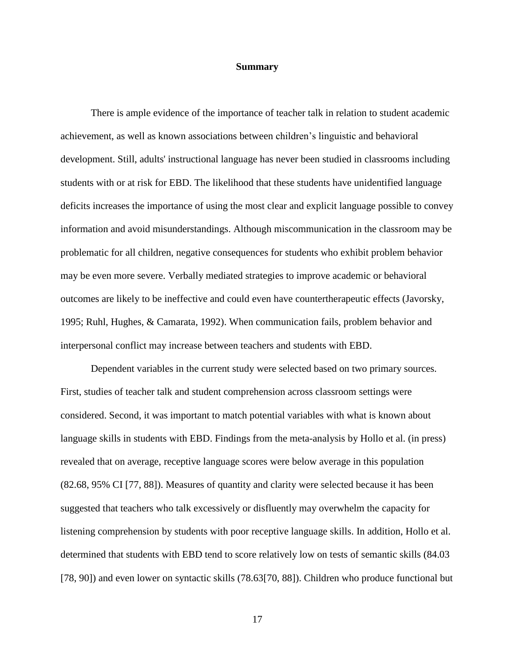#### **Summary**

There is ample evidence of the importance of teacher talk in relation to student academic achievement, as well as known associations between children's linguistic and behavioral development. Still, adults' instructional language has never been studied in classrooms including students with or at risk for EBD. The likelihood that these students have unidentified language deficits increases the importance of using the most clear and explicit language possible to convey information and avoid misunderstandings. Although miscommunication in the classroom may be problematic for all children, negative consequences for students who exhibit problem behavior may be even more severe. Verbally mediated strategies to improve academic or behavioral outcomes are likely to be ineffective and could even have countertherapeutic effects (Javorsky, 1995; Ruhl, Hughes, & Camarata, 1992). When communication fails, problem behavior and interpersonal conflict may increase between teachers and students with EBD.

Dependent variables in the current study were selected based on two primary sources. First, studies of teacher talk and student comprehension across classroom settings were considered. Second, it was important to match potential variables with what is known about language skills in students with EBD. Findings from the meta-analysis by Hollo et al. (in press) revealed that on average, receptive language scores were below average in this population (82.68, 95% CI [77, 88]). Measures of quantity and clarity were selected because it has been suggested that teachers who talk excessively or disfluently may overwhelm the capacity for listening comprehension by students with poor receptive language skills. In addition, Hollo et al. determined that students with EBD tend to score relatively low on tests of semantic skills (84.03 [78, 90]) and even lower on syntactic skills (78.63[70, 88]). Children who produce functional but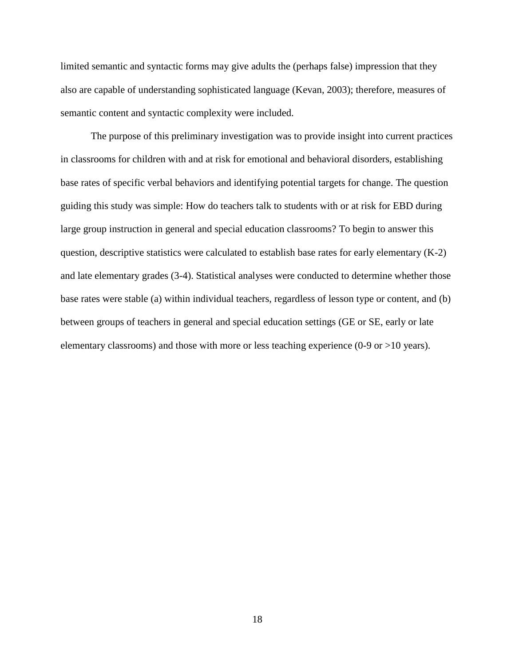limited semantic and syntactic forms may give adults the (perhaps false) impression that they also are capable of understanding sophisticated language (Kevan, 2003); therefore, measures of semantic content and syntactic complexity were included.

The purpose of this preliminary investigation was to provide insight into current practices in classrooms for children with and at risk for emotional and behavioral disorders, establishing base rates of specific verbal behaviors and identifying potential targets for change. The question guiding this study was simple: How do teachers talk to students with or at risk for EBD during large group instruction in general and special education classrooms? To begin to answer this question, descriptive statistics were calculated to establish base rates for early elementary (K-2) and late elementary grades (3-4). Statistical analyses were conducted to determine whether those base rates were stable (a) within individual teachers, regardless of lesson type or content, and (b) between groups of teachers in general and special education settings (GE or SE, early or late elementary classrooms) and those with more or less teaching experience (0-9 or >10 years).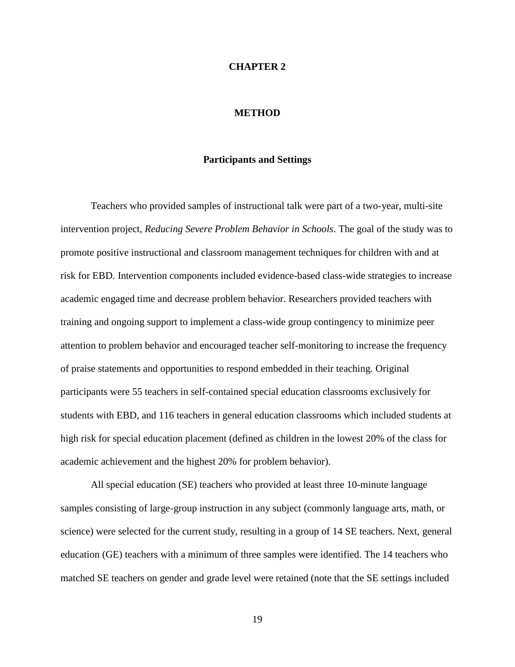#### **CHAPTER 2**

#### **METHOD**

## **Participants and Settings**

Teachers who provided samples of instructional talk were part of a two-year, multi-site intervention project, *Reducing Severe Problem Behavior in Schools.* The goal of the study was to promote positive instructional and classroom management techniques for children with and at risk for EBD. Intervention components included evidence-based class-wide strategies to increase academic engaged time and decrease problem behavior. Researchers provided teachers with training and ongoing support to implement a class-wide group contingency to minimize peer attention to problem behavior and encouraged teacher self-monitoring to increase the frequency of praise statements and opportunities to respond embedded in their teaching. Original participants were 55 teachers in self-contained special education classrooms exclusively for students with EBD, and 116 teachers in general education classrooms which included students at high risk for special education placement (defined as children in the lowest 20% of the class for academic achievement and the highest 20% for problem behavior).

All special education (SE) teachers who provided at least three 10-minute language samples consisting of large-group instruction in any subject (commonly language arts, math, or science) were selected for the current study, resulting in a group of 14 SE teachers. Next, general education (GE) teachers with a minimum of three samples were identified. The 14 teachers who matched SE teachers on gender and grade level were retained (note that the SE settings included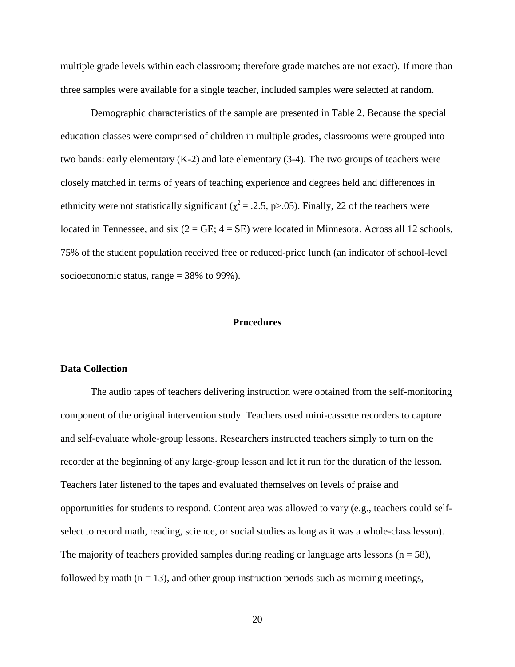multiple grade levels within each classroom; therefore grade matches are not exact). If more than three samples were available for a single teacher, included samples were selected at random.

Demographic characteristics of the sample are presented in Table 2. Because the special education classes were comprised of children in multiple grades, classrooms were grouped into two bands: early elementary (K-2) and late elementary (3-4). The two groups of teachers were closely matched in terms of years of teaching experience and degrees held and differences in ethnicity were not statistically significant ( $\chi^2$  = .2.5, p>.05). Finally, 22 of the teachers were located in Tennessee, and six  $(2 = GE; 4 = SE)$  were located in Minnesota. Across all 12 schools, 75% of the student population received free or reduced-price lunch (an indicator of school-level socioeconomic status, range = 38% to 99%).

#### **Procedures**

#### **Data Collection**

The audio tapes of teachers delivering instruction were obtained from the self-monitoring component of the original intervention study. Teachers used mini-cassette recorders to capture and self-evaluate whole-group lessons. Researchers instructed teachers simply to turn on the recorder at the beginning of any large-group lesson and let it run for the duration of the lesson. Teachers later listened to the tapes and evaluated themselves on levels of praise and opportunities for students to respond. Content area was allowed to vary (e.g., teachers could selfselect to record math, reading, science, or social studies as long as it was a whole-class lesson). The majority of teachers provided samples during reading or language arts lessons ( $n = 58$ ), followed by math ( $n = 13$ ), and other group instruction periods such as morning meetings,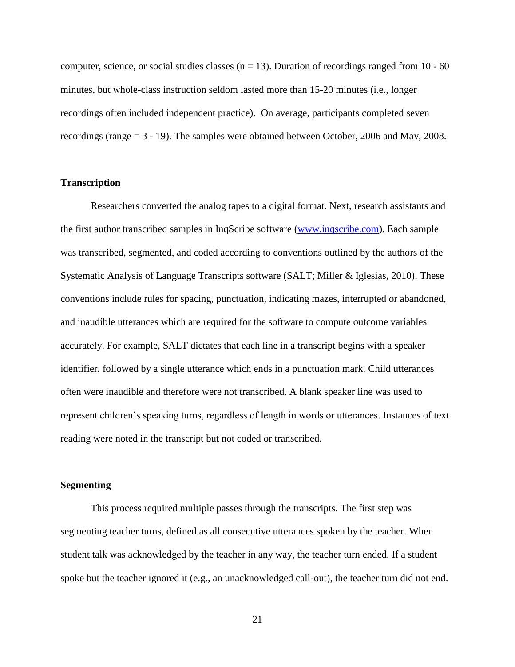computer, science, or social studies classes  $(n = 13)$ . Duration of recordings ranged from 10 - 60 minutes, but whole-class instruction seldom lasted more than 15-20 minutes (i.e., longer recordings often included independent practice). On average, participants completed seven recordings (range = 3 - 19). The samples were obtained between October, 2006 and May, 2008.

## **Transcription**

Researchers converted the analog tapes to a digital format. Next, research assistants and the first author transcribed samples in InqScribe software [\(www.inqscribe.com\)](http://www.inqscribe.com/). Each sample was transcribed, segmented, and coded according to conventions outlined by the authors of the Systematic Analysis of Language Transcripts software (SALT; Miller & Iglesias, 2010). These conventions include rules for spacing, punctuation, indicating mazes, interrupted or abandoned, and inaudible utterances which are required for the software to compute outcome variables accurately. For example, SALT dictates that each line in a transcript begins with a speaker identifier, followed by a single utterance which ends in a punctuation mark. Child utterances often were inaudible and therefore were not transcribed. A blank speaker line was used to represent children's speaking turns, regardless of length in words or utterances. Instances of text reading were noted in the transcript but not coded or transcribed.

### **Segmenting**

This process required multiple passes through the transcripts. The first step was segmenting teacher turns, defined as all consecutive utterances spoken by the teacher. When student talk was acknowledged by the teacher in any way, the teacher turn ended. If a student spoke but the teacher ignored it (e.g., an unacknowledged call-out), the teacher turn did not end.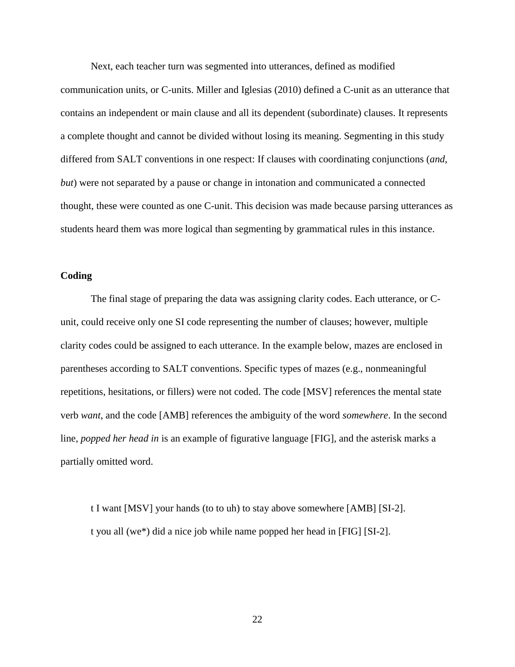Next, each teacher turn was segmented into utterances, defined as modified

communication units, or C-units. Miller and Iglesias (2010) defined a C-unit as an utterance that contains an independent or main clause and all its dependent (subordinate) clauses. It represents a complete thought and cannot be divided without losing its meaning. Segmenting in this study differed from SALT conventions in one respect: If clauses with coordinating conjunctions (*and*, *but*) were not separated by a pause or change in intonation and communicated a connected thought, these were counted as one C-unit. This decision was made because parsing utterances as students heard them was more logical than segmenting by grammatical rules in this instance.

# **Coding**

The final stage of preparing the data was assigning clarity codes. Each utterance, or Cunit, could receive only one SI code representing the number of clauses; however, multiple clarity codes could be assigned to each utterance. In the example below, mazes are enclosed in parentheses according to SALT conventions. Specific types of mazes (e.g., nonmeaningful repetitions, hesitations, or fillers) were not coded. The code [MSV] references the mental state verb *want*, and the code [AMB] references the ambiguity of the word *somewhere*. In the second line, *popped her head in* is an example of figurative language [FIG], and the asterisk marks a partially omitted word.

t I want [MSV] your hands (to to uh) to stay above somewhere [AMB] [SI-2]. t you all (we\*) did a nice job while name popped her head in [FIG] [SI-2].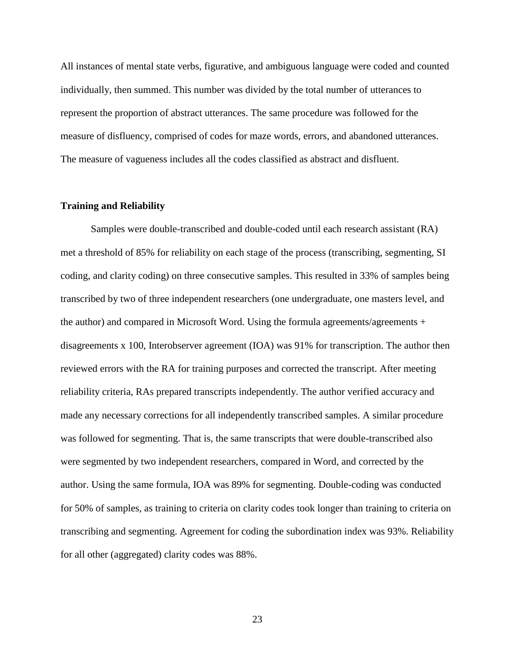All instances of mental state verbs, figurative, and ambiguous language were coded and counted individually, then summed. This number was divided by the total number of utterances to represent the proportion of abstract utterances. The same procedure was followed for the measure of disfluency, comprised of codes for maze words, errors, and abandoned utterances. The measure of vagueness includes all the codes classified as abstract and disfluent.

## **Training and Reliability**

Samples were double-transcribed and double-coded until each research assistant (RA) met a threshold of 85% for reliability on each stage of the process (transcribing, segmenting, SI coding, and clarity coding) on three consecutive samples. This resulted in 33% of samples being transcribed by two of three independent researchers (one undergraduate, one masters level, and the author) and compared in Microsoft Word. Using the formula agreements/agreements  $+$ disagreements x 100, Interobserver agreement (IOA) was 91% for transcription. The author then reviewed errors with the RA for training purposes and corrected the transcript. After meeting reliability criteria, RAs prepared transcripts independently. The author verified accuracy and made any necessary corrections for all independently transcribed samples. A similar procedure was followed for segmenting. That is, the same transcripts that were double-transcribed also were segmented by two independent researchers, compared in Word, and corrected by the author. Using the same formula, IOA was 89% for segmenting. Double-coding was conducted for 50% of samples, as training to criteria on clarity codes took longer than training to criteria on transcribing and segmenting. Agreement for coding the subordination index was 93%. Reliability for all other (aggregated) clarity codes was 88%.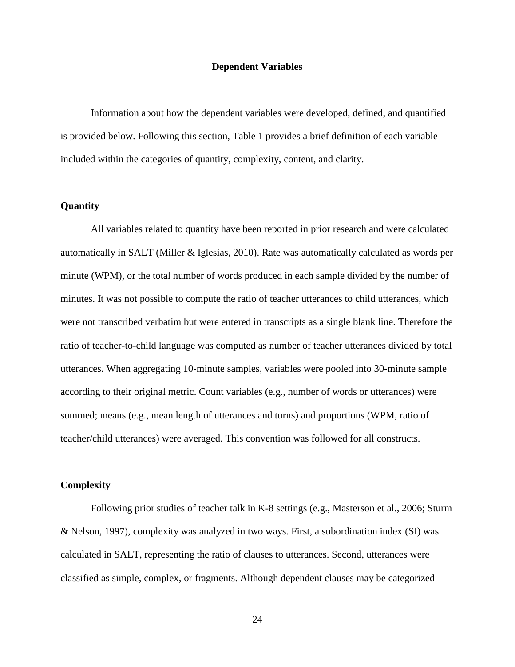## **Dependent Variables**

Information about how the dependent variables were developed, defined, and quantified is provided below. Following this section, Table 1 provides a brief definition of each variable included within the categories of quantity, complexity, content, and clarity.

# **Quantity**

All variables related to quantity have been reported in prior research and were calculated automatically in SALT (Miller & Iglesias, 2010). Rate was automatically calculated as words per minute (WPM), or the total number of words produced in each sample divided by the number of minutes. It was not possible to compute the ratio of teacher utterances to child utterances, which were not transcribed verbatim but were entered in transcripts as a single blank line. Therefore the ratio of teacher-to-child language was computed as number of teacher utterances divided by total utterances. When aggregating 10-minute samples, variables were pooled into 30-minute sample according to their original metric. Count variables (e.g., number of words or utterances) were summed; means (e.g., mean length of utterances and turns) and proportions (WPM, ratio of teacher/child utterances) were averaged. This convention was followed for all constructs.

### **Complexity**

Following prior studies of teacher talk in K-8 settings (e.g., Masterson et al., 2006; Sturm & Nelson, 1997), complexity was analyzed in two ways. First, a subordination index (SI) was calculated in SALT, representing the ratio of clauses to utterances. Second, utterances were classified as simple, complex, or fragments. Although dependent clauses may be categorized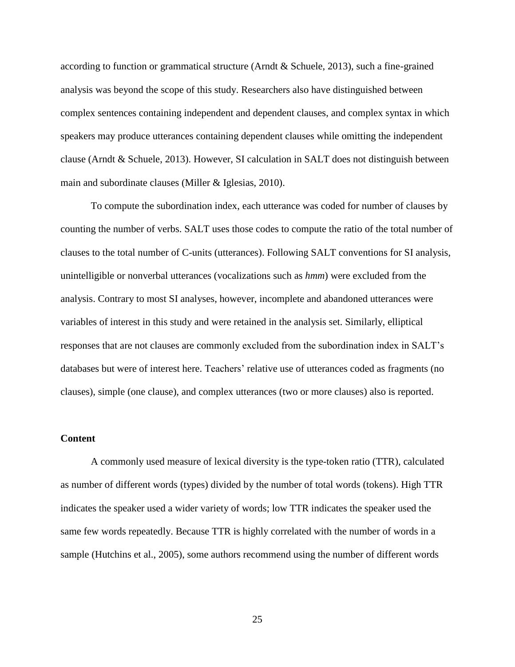according to function or grammatical structure (Arndt & Schuele, 2013), such a fine-grained analysis was beyond the scope of this study. Researchers also have distinguished between complex sentences containing independent and dependent clauses, and complex syntax in which speakers may produce utterances containing dependent clauses while omitting the independent clause (Arndt & Schuele, 2013). However, SI calculation in SALT does not distinguish between main and subordinate clauses (Miller & Iglesias, 2010).

To compute the subordination index, each utterance was coded for number of clauses by counting the number of verbs. SALT uses those codes to compute the ratio of the total number of clauses to the total number of C-units (utterances). Following SALT conventions for SI analysis, unintelligible or nonverbal utterances (vocalizations such as *hmm*) were excluded from the analysis. Contrary to most SI analyses, however, incomplete and abandoned utterances were variables of interest in this study and were retained in the analysis set. Similarly, elliptical responses that are not clauses are commonly excluded from the subordination index in SALT's databases but were of interest here. Teachers' relative use of utterances coded as fragments (no clauses), simple (one clause), and complex utterances (two or more clauses) also is reported.

## **Content**

A commonly used measure of lexical diversity is the type-token ratio (TTR), calculated as number of different words (types) divided by the number of total words (tokens). High TTR indicates the speaker used a wider variety of words; low TTR indicates the speaker used the same few words repeatedly. Because TTR is highly correlated with the number of words in a sample (Hutchins et al., 2005), some authors recommend using the number of different words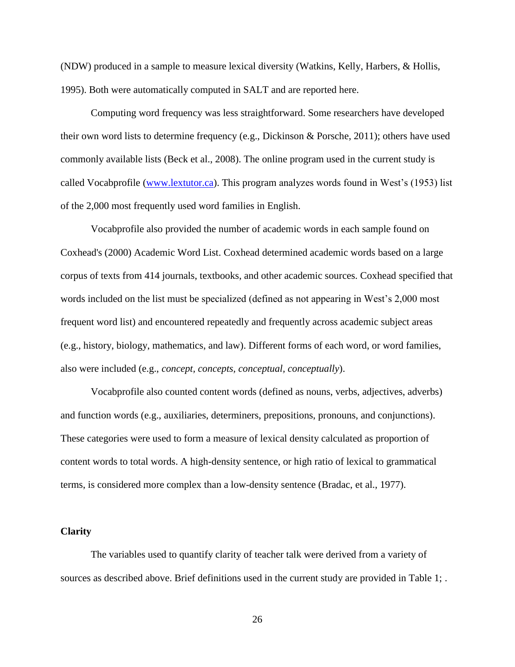(NDW) produced in a sample to measure lexical diversity (Watkins, Kelly, Harbers, & Hollis, 1995). Both were automatically computed in SALT and are reported here.

Computing word frequency was less straightforward. Some researchers have developed their own word lists to determine frequency (e.g., Dickinson & Porsche, 2011); others have used commonly available lists (Beck et al., 2008). The online program used in the current study is called Vocabprofile [\(www.lextutor.ca\)](http://www.lextutor.ca/). This program analyzes words found in West's (1953) list of the 2,000 most frequently used word families in English.

Vocabprofile also provided the number of academic words in each sample found on Coxhead's (2000) Academic Word List. Coxhead determined academic words based on a large corpus of texts from 414 journals, textbooks, and other academic sources. Coxhead specified that words included on the list must be specialized (defined as not appearing in West's 2,000 most frequent word list) and encountered repeatedly and frequently across academic subject areas (e.g., history, biology, mathematics, and law). Different forms of each word, or word families, also were included (e.g., *concept, concepts, conceptual, conceptually*).

Vocabprofile also counted content words (defined as nouns, verbs, adjectives, adverbs) and function words (e.g., auxiliaries, determiners, prepositions, pronouns, and conjunctions). These categories were used to form a measure of lexical density calculated as proportion of content words to total words. A high-density sentence, or high ratio of lexical to grammatical terms, is considered more complex than a low-density sentence (Bradac, et al., 1977).

#### **Clarity**

The variables used to quantify clarity of teacher talk were derived from a variety of sources as described above. Brief definitions used in the current study are provided in Table 1; .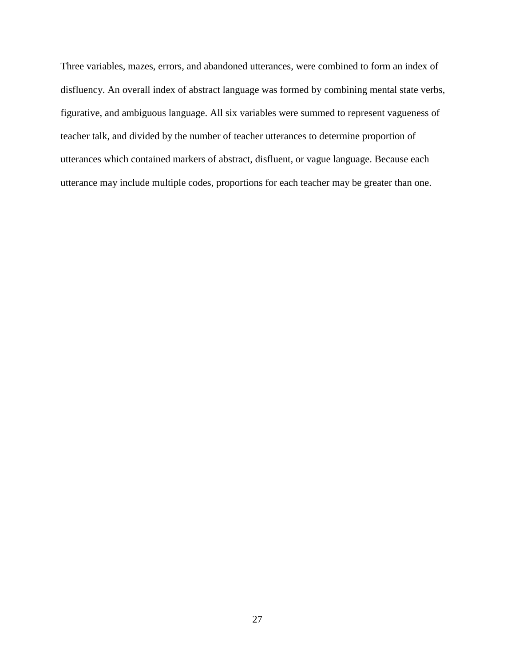Three variables, mazes, errors, and abandoned utterances, were combined to form an index of disfluency. An overall index of abstract language was formed by combining mental state verbs, figurative, and ambiguous language. All six variables were summed to represent vagueness of teacher talk, and divided by the number of teacher utterances to determine proportion of utterances which contained markers of abstract, disfluent, or vague language. Because each utterance may include multiple codes, proportions for each teacher may be greater than one.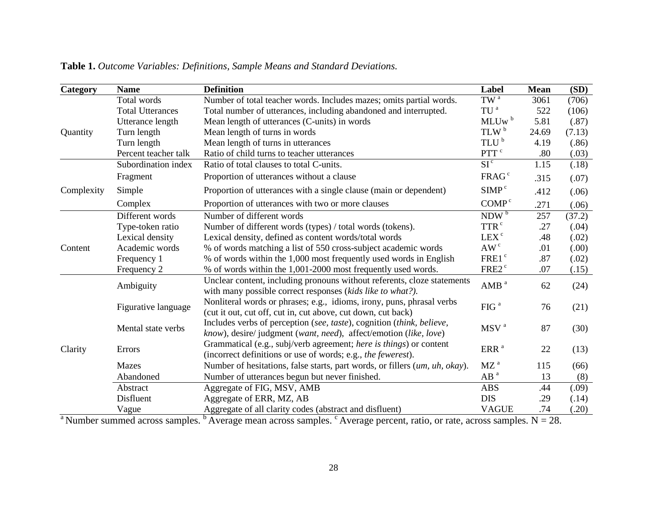|                                               | <b>Name</b>             | <b>Definition</b>                                                                                                                         | Label             | <b>Mean</b> | (SD)   |
|-----------------------------------------------|-------------------------|-------------------------------------------------------------------------------------------------------------------------------------------|-------------------|-------------|--------|
|                                               | Total words             | Number of total teacher words. Includes mazes; omits partial words.                                                                       | $TW^a$            | 3061        | (706)  |
|                                               | <b>Total Utterances</b> | Total number of utterances, including abandoned and interrupted.                                                                          | TU <sup>a</sup>   | 522         | (106)  |
|                                               | Utterance length        | Mean length of utterances (C-units) in words                                                                                              | MLUw <sup>b</sup> | 5.81        | (.87)  |
| Category<br>Quantity<br>Complexity<br>Content | Turn length             | TLW <sup>b</sup><br>Mean length of turns in words                                                                                         |                   | 24.69       | (7.13) |
|                                               | Turn length             | Mean length of turns in utterances                                                                                                        | TLU <sup>b</sup>  | 4.19        | (.86)  |
|                                               | Percent teacher talk    | Ratio of child turns to teacher utterances                                                                                                | PTT <sup>c</sup>  | .80         | (.03)  |
|                                               | Subordination index     | Ratio of total clauses to total C-units.                                                                                                  | SI <sup>c</sup>   | 1.15        | (.18)  |
|                                               | Fragment                | Proportion of utterances without a clause                                                                                                 | FRAG <sup>c</sup> | .315        | (.07)  |
|                                               | Simple                  | Proportion of utterances with a single clause (main or dependent)                                                                         | SIMP <sup>c</sup> | .412        | (.06)  |
|                                               | Complex                 | Proportion of utterances with two or more clauses                                                                                         | COMP <sup>c</sup> | .271        | (.06)  |
|                                               | Different words         | Number of different words                                                                                                                 | NDW <sup>b</sup>  | 257         | (37.2) |
|                                               | Type-token ratio        | Number of different words (types) / total words (tokens).                                                                                 | TTR <sup>c</sup>  | .27         | (.04)  |
|                                               | Lexical density         | Lexical density, defined as content words/total words                                                                                     | LEX <sup>c</sup>  | .48         | (.02)  |
|                                               | Academic words          | % of words matching a list of 550 cross-subject academic words                                                                            | AW <sup>c</sup>   | .01         | (.00)  |
|                                               | Frequency 1             | % of words within the 1,000 most frequently used words in English                                                                         | FRE1 <sup>c</sup> | .87         | (.02)  |
|                                               | Frequency 2             | % of words within the 1,001-2000 most frequently used words.                                                                              | FRE2 <sup>c</sup> | .07         | (.15)  |
|                                               | Ambiguity               | Unclear content, including pronouns without referents, cloze statements<br>with many possible correct responses (kids like to what?).     | AMB <sup>a</sup>  | 62          | (24)   |
| Clarity                                       | Figurative language     | Nonliteral words or phrases; e.g., idioms, irony, puns, phrasal verbs<br>(cut it out, cut off, cut in, cut above, cut down, cut back)     | FIG <sup>a</sup>  | 76          | (21)   |
|                                               | Mental state verbs      | Includes verbs of perception (see, taste), cognition (think, believe,<br>know), desire/judgment (want, need), affect/emotion (like, love) | MSV <sup>a</sup>  | 87          | (30)   |
|                                               | Errors                  | Grammatical (e.g., subj/verb agreement; here is things) or content<br>(incorrect definitions or use of words; e.g., the fewerest).        | ERR <sup>a</sup>  | 22          | (13)   |
|                                               | <b>Mazes</b>            | Number of hesitations, false starts, part words, or fillers (um, uh, okay).                                                               | $MZ^a$            | 115         | (66)   |
|                                               | Abandoned               | Number of utterances begun but never finished.                                                                                            | AB <sup>a</sup>   | 13          | (8)    |
|                                               | Abstract                | Aggregate of FIG, MSV, AMB                                                                                                                | <b>ABS</b>        | .44         | (.09)  |
|                                               | Disfluent               | Aggregate of ERR, MZ, AB                                                                                                                  | <b>DIS</b>        | .29         | (.14)  |
|                                               | Vague                   | Aggregate of all clarity codes (abstract and disfluent)                                                                                   | <b>VAGUE</b>      | .74         | (.20)  |

**Table 1.** *Outcome Variables: Definitions, Sample Means and Standard Deviations.*

<sup>a</sup>Number summed across samples.  $\frac{b}{b}$  Average mean across samples. <sup>c</sup>Average percent, ratio, or rate, across samples. N = 28.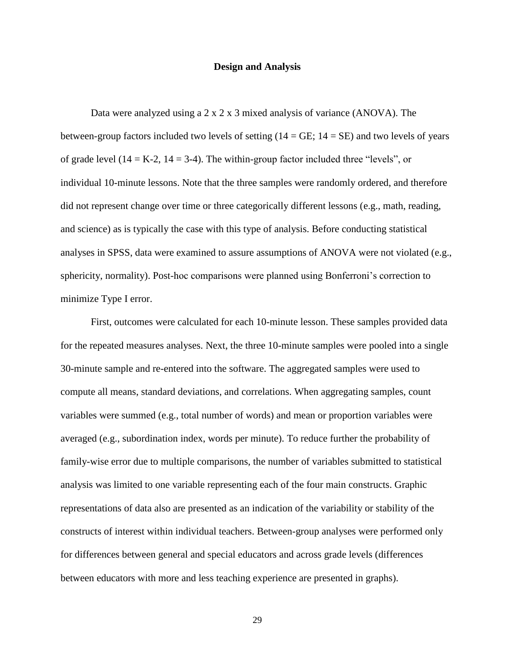#### **Design and Analysis**

Data were analyzed using a  $2 \times 2 \times 3$  mixed analysis of variance (ANOVA). The between-group factors included two levels of setting  $(14 = \text{GE}; 14 = \text{SE})$  and two levels of years of grade level  $(14 = K-2, 14 = 3-4)$ . The within-group factor included three "levels", or individual 10-minute lessons. Note that the three samples were randomly ordered, and therefore did not represent change over time or three categorically different lessons (e.g., math, reading, and science) as is typically the case with this type of analysis. Before conducting statistical analyses in SPSS, data were examined to assure assumptions of ANOVA were not violated (e.g., sphericity, normality). Post-hoc comparisons were planned using Bonferroni's correction to minimize Type I error.

First, outcomes were calculated for each 10-minute lesson. These samples provided data for the repeated measures analyses. Next, the three 10-minute samples were pooled into a single 30-minute sample and re-entered into the software. The aggregated samples were used to compute all means, standard deviations, and correlations. When aggregating samples, count variables were summed (e.g., total number of words) and mean or proportion variables were averaged (e.g., subordination index, words per minute). To reduce further the probability of family-wise error due to multiple comparisons, the number of variables submitted to statistical analysis was limited to one variable representing each of the four main constructs. Graphic representations of data also are presented as an indication of the variability or stability of the constructs of interest within individual teachers. Between-group analyses were performed only for differences between general and special educators and across grade levels (differences between educators with more and less teaching experience are presented in graphs).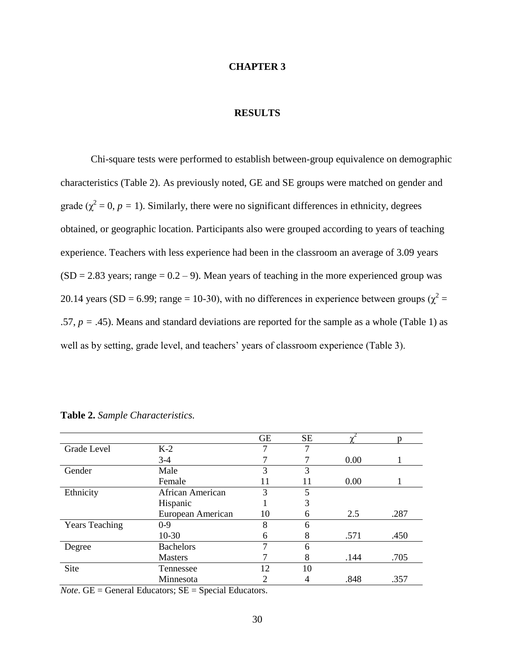#### **CHAPTER 3**

# **RESULTS**

Chi-square tests were performed to establish between-group equivalence on demographic characteristics (Table 2). As previously noted, GE and SE groups were matched on gender and grade ( $\chi^2 = 0$ ,  $p = 1$ ). Similarly, there were no significant differences in ethnicity, degrees obtained, or geographic location. Participants also were grouped according to years of teaching experience. Teachers with less experience had been in the classroom an average of 3.09 years  $(SD = 2.83 \text{ years}; \text{range} = 0.2 - 9)$ . Mean years of teaching in the more experienced group was 20.14 years (SD = 6.99; range = 10-30), with no differences in experience between groups ( $\chi^2$  = .57,  $p = .45$ ). Means and standard deviations are reported for the sample as a whole (Table 1) as well as by setting, grade level, and teachers' years of classroom experience (Table 3).

|                       |                   | <b>GE</b> | <b>SE</b> |      | n    |
|-----------------------|-------------------|-----------|-----------|------|------|
| Grade Level           | $K-2$             | 7         |           |      |      |
|                       | $3-4$             |           |           | 0.00 |      |
| Gender                | Male              | 3         | 3         |      |      |
|                       | Female            | 11        | 11        | 0.00 |      |
| Ethnicity             | African American  | 3         | 5         |      |      |
|                       | Hispanic          |           | 3         |      |      |
|                       | European American | 10        | 6         | 2.5  | .287 |
| <b>Years Teaching</b> | $0-9$             | 8         | 6         |      |      |
|                       | 10-30             | 6         | 8         | .571 | .450 |
| Degree                | <b>Bachelors</b>  | 7         | 6         |      |      |
|                       | <b>Masters</b>    |           | 8         | .144 | .705 |
| Site                  | Tennessee         | 12        | 10        |      |      |
|                       | Minnesota         | 2         |           | .848 | .357 |

# **Table 2.** *Sample Characteristics.*

*Note*.  $GE = General$  Educators;  $SE = Special$  Educators.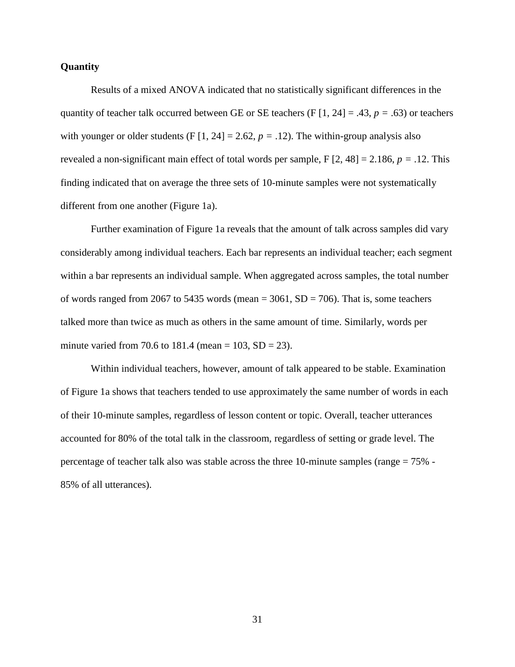# **Quantity**

Results of a mixed ANOVA indicated that no statistically significant differences in the quantity of teacher talk occurred between GE or SE teachers (F [1, 24] = .43,  $p = .63$ ) or teachers with younger or older students (F  $[1, 24] = 2.62$ ,  $p = .12$ ). The within-group analysis also revealed a non-significant main effect of total words per sample, F [2, 48] = 2.186, *p =* .12. This finding indicated that on average the three sets of 10-minute samples were not systematically different from one another (Figure 1a).

Further examination of Figure 1a reveals that the amount of talk across samples did vary considerably among individual teachers. Each bar represents an individual teacher; each segment within a bar represents an individual sample. When aggregated across samples, the total number of words ranged from 2067 to 5435 words (mean  $=$  3061, SD  $=$  706). That is, some teachers talked more than twice as much as others in the same amount of time. Similarly, words per minute varied from 70.6 to 181.4 (mean =  $103$ , SD =  $23$ ).

Within individual teachers, however, amount of talk appeared to be stable. Examination of Figure 1a shows that teachers tended to use approximately the same number of words in each of their 10-minute samples, regardless of lesson content or topic. Overall, teacher utterances accounted for 80% of the total talk in the classroom, regardless of setting or grade level. The percentage of teacher talk also was stable across the three 10-minute samples (range = 75% - 85% of all utterances).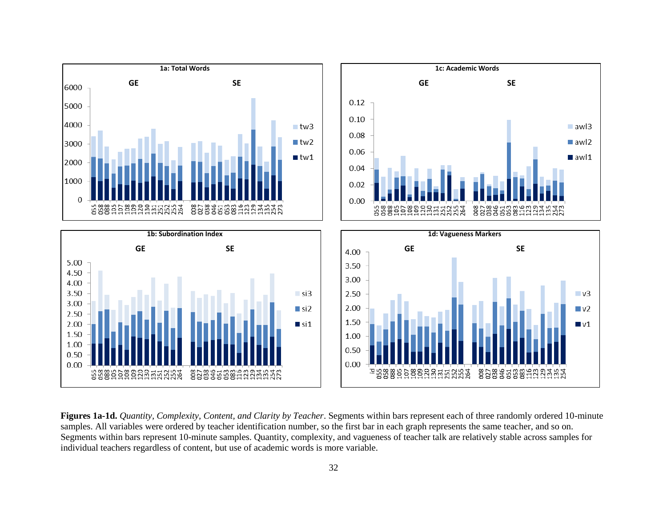

**Figures 1a-1d.** *Quantity, Complexity, Content, and Clarity by Teacher*. Segments within bars represent each of three randomly ordered 10-minute samples. All variables were ordered by teacher identification number, so the first bar in each graph represents the same teacher, and so on. Segments within bars represent 10-minute samples. Quantity, complexity, and vagueness of teacher talk are relatively stable across samples for individual teachers regardless of content, but use of academic words is more variable.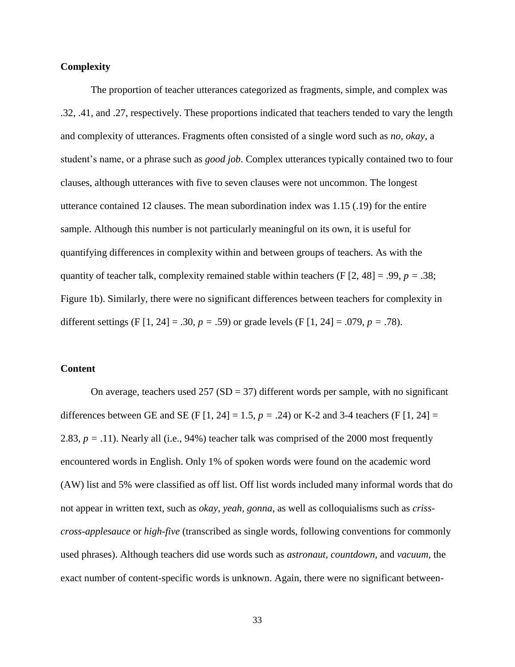# **Complexity**

The proportion of teacher utterances categorized as fragments, simple, and complex was .32, .41, and .27, respectively. These proportions indicated that teachers tended to vary the length and complexity of utterances. Fragments often consisted of a single word such as *no, okay*, a student's name, or a phrase such as *good job*. Complex utterances typically contained two to four clauses, although utterances with five to seven clauses were not uncommon. The longest utterance contained 12 clauses. The mean subordination index was 1.15 (.19) for the entire sample. Although this number is not particularly meaningful on its own, it is useful for quantifying differences in complexity within and between groups of teachers. As with the quantity of teacher talk, complexity remained stable within teachers (F  $[2, 48] = .99$ ,  $p = .38$ ; Figure 1b). Similarly, there were no significant differences between teachers for complexity in different settings (F [1, 24] = .30, *p =* .59) or grade levels (F [1, 24] = .079, *p =* .78).

# **Content**

On average, teachers used  $257 (SD = 37)$  different words per sample, with no significant differences between GE and SE (F [1, 24] = 1.5,  $p = .24$ ) or K-2 and 3-4 teachers (F [1, 24] = 2.83, *p =* .11). Nearly all (i.e., 94%) teacher talk was comprised of the 2000 most frequently encountered words in English. Only 1% of spoken words were found on the academic word (AW) list and 5% were classified as off list. Off list words included many informal words that do not appear in written text, such as *okay, yeah, gonna*, as well as colloquialisms such as *crisscross-applesauce* or *high-five* (transcribed as single words, following conventions for commonly used phrases). Although teachers did use words such as *astronaut, countdown,* and *vacuum,* the exact number of content-specific words is unknown. Again, there were no significant between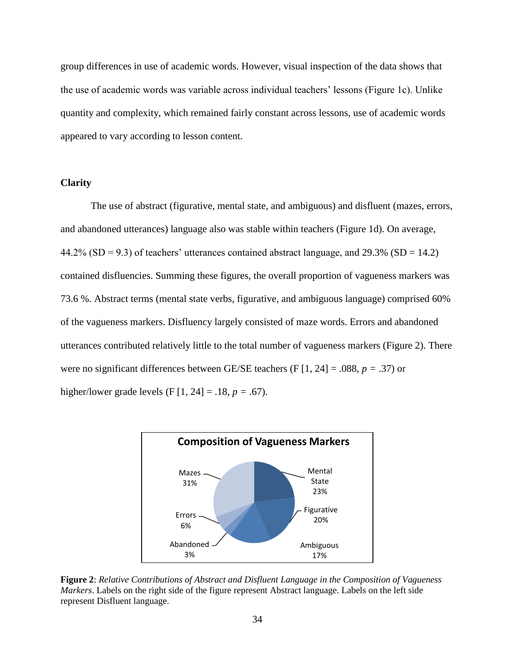group differences in use of academic words. However, visual inspection of the data shows that the use of academic words was variable across individual teachers' lessons (Figure 1c). Unlike quantity and complexity, which remained fairly constant across lessons, use of academic words appeared to vary according to lesson content.

### **Clarity**

The use of abstract (figurative, mental state, and ambiguous) and disfluent (mazes, errors, and abandoned utterances) language also was stable within teachers (Figure 1d). On average,  $44.2\%$  (SD = 9.3) of teachers' utterances contained abstract language, and 29.3% (SD = 14.2) contained disfluencies. Summing these figures, the overall proportion of vagueness markers was 73.6 %. Abstract terms (mental state verbs, figurative, and ambiguous language) comprised 60% of the vagueness markers. Disfluency largely consisted of maze words. Errors and abandoned utterances contributed relatively little to the total number of vagueness markers (Figure 2). There were no significant differences between GE/SE teachers (F [1, 24] = .088, *p =* .37) or higher/lower grade levels (F [1, 24] = .18, *p =* .67).



**Figure 2**: *Relative Contributions of Abstract and Disfluent Language in the Composition of Vagueness Markers*. Labels on the right side of the figure represent Abstract language. Labels on the left side represent Disfluent language.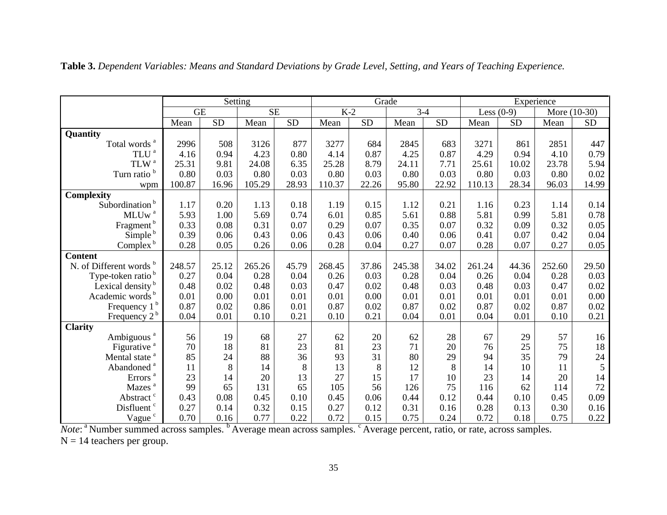|                               | Setting                |                 |        |       | Grade  |       |        |       | Experience   |       |              |           |
|-------------------------------|------------------------|-----------------|--------|-------|--------|-------|--------|-------|--------------|-------|--------------|-----------|
|                               | $\overline{\text{GE}}$ |                 | SE     |       | $K-2$  |       | $3-4$  |       | Less $(0-9)$ |       | More (10-30) |           |
|                               | Mean                   | $\overline{SD}$ | Mean   | SD    | Mean   | SD    | Mean   | SD    | Mean         | SD    | Mean         | <b>SD</b> |
| Quantity                      |                        |                 |        |       |        |       |        |       |              |       |              |           |
| Total words <sup>a</sup>      | 2996                   | 508             | 3126   | 877   | 3277   | 684   | 2845   | 683   | 3271         | 861   | 2851         | 447       |
| $\mbox{TLU}^{\;a}$            | 4.16                   | 0.94            | 4.23   | 0.80  | 4.14   | 0.87  | 4.25   | 0.87  | 4.29         | 0.94  | 4.10         | 0.79      |
| $\mbox{TLW}$ $^{\mbox{a}}$    | 25.31                  | 9.81            | 24.08  | 6.35  | 25.28  | 8.79  | 24.11  | 7.71  | 25.61        | 10.02 | 23.78        | 5.94      |
| Turn ratio <sup>b</sup>       | 0.80                   | 0.03            | 0.80   | 0.03  | 0.80   | 0.03  | 0.80   | 0.03  | 0.80         | 0.03  | 0.80         | 0.02      |
| wpm                           | 100.87                 | 16.96           | 105.29 | 28.93 | 110.37 | 22.26 | 95.80  | 22.92 | 110.13       | 28.34 | 96.03        | 14.99     |
| Complexity                    |                        |                 |        |       |        |       |        |       |              |       |              |           |
| Subordination <sup>b</sup>    | 1.17                   | 0.20            | 1.13   | 0.18  | 1.19   | 0.15  | 1.12   | 0.21  | 1.16         | 0.23  | 1.14         | 0.14      |
| $MLUw^a$                      | 5.93                   | 1.00            | 5.69   | 0.74  | 6.01   | 0.85  | 5.61   | 0.88  | 5.81         | 0.99  | 5.81         | 0.78      |
| Fragment <sup>b</sup>         | 0.33                   | 0.08            | 0.31   | 0.07  | 0.29   | 0.07  | 0.35   | 0.07  | 0.32         | 0.09  | 0.32         | 0.05      |
| Simple <sup>b</sup>           | 0.39                   | 0.06            | 0.43   | 0.06  | 0.43   | 0.06  | 0.40   | 0.06  | 0.41         | 0.07  | 0.42         | 0.04      |
| Complex <sup>b</sup>          | 0.28                   | 0.05            | 0.26   | 0.06  | 0.28   | 0.04  | 0.27   | 0.07  | 0.28         | 0.07  | 0.27         | 0.05      |
| <b>Content</b>                |                        |                 |        |       |        |       |        |       |              |       |              |           |
| N. of Different words b       | 248.57                 | 25.12           | 265.26 | 45.79 | 268.45 | 37.86 | 245.38 | 34.02 | 261.24       | 44.36 | 252.60       | 29.50     |
| Type-token ratio <sup>b</sup> | 0.27                   | 0.04            | 0.28   | 0.04  | 0.26   | 0.03  | 0.28   | 0.04  | 0.26         | 0.04  | 0.28         | 0.03      |
| Lexical density <sup>b</sup>  | 0.48                   | 0.02            | 0.48   | 0.03  | 0.47   | 0.02  | 0.48   | 0.03  | 0.48         | 0.03  | 0.47         | 0.02      |
| Academic words <sup>b</sup>   | 0.01                   | 0.00            | 0.01   | 0.01  | 0.01   | 0.00  | 0.01   | 0.01  | 0.01         | 0.01  | 0.01         | 0.00      |
| Frequency 1 <sup>b</sup>      | 0.87                   | 0.02            | 0.86   | 0.01  | 0.87   | 0.02  | 0.87   | 0.02  | 0.87         | 0.02  | 0.87         | 0.02      |
| Frequency $2^b$               | 0.04                   | 0.01            | 0.10   | 0.21  | 0.10   | 0.21  | 0.04   | 0.01  | 0.04         | 0.01  | 0.10         | 0.21      |
| <b>Clarity</b>                |                        |                 |        |       |        |       |        |       |              |       |              |           |
| Ambiguous <sup>a</sup>        | 56                     | 19              | 68     | 27    | 62     | 20    | 62     | 28    | 67           | 29    | 57           | 16        |
| Figurative <sup>a</sup>       | 70                     | 18              | 81     | 23    | 81     | 23    | 71     | 20    | 76           | 25    | 75           | 18        |
| Mental state <sup>a</sup>     | 85                     | 24              | 88     | 36    | 93     | 31    | 80     | 29    | 94           | 35    | 79           | 24        |
| Abandoned <sup>a</sup>        | 11                     | 8               | 14     | 8     | 13     | $8\,$ | 12     | 8     | 14           | 10    | 11           | 5         |
| Errors $^{\mathrm{a}}$        | 23                     | 14              | 20     | 13    | 27     | 15    | 17     | 10    | 23           | 14    | 20           | 14        |
| Mazes <sup>a</sup>            | 99                     | 65              | 131    | 65    | 105    | 56    | 126    | 75    | 116          | 62    | 114          | 72        |
| Abstract c                    | 0.43                   | 0.08            | 0.45   | 0.10  | 0.45   | 0.06  | 0.44   | 0.12  | 0.44         | 0.10  | 0.45         | 0.09      |
| Disfluent <sup>c</sup>        | 0.27                   | 0.14            | 0.32   | 0.15  | 0.27   | 0.12  | 0.31   | 0.16  | 0.28         | 0.13  | 0.30         | 0.16      |
| Vague <sup>c</sup>            | 0.70                   | 0.16            | 0.77   | 0.22  | 0.72   | 0.15  | 0.75   | 0.24  | 0.72         | 0.18  | 0.75         | 0.22      |

**Table 3.** *Dependent Variables: Means and Standard Deviations by Grade Level, Setting, and Years of Teaching Experience.* 

*Note*: <sup>a</sup> Number summed across samples. <sup>b</sup> Average mean across samples. <sup>c</sup> Average percent, ratio, or rate, across samples.

 $N = 14$  teachers per group.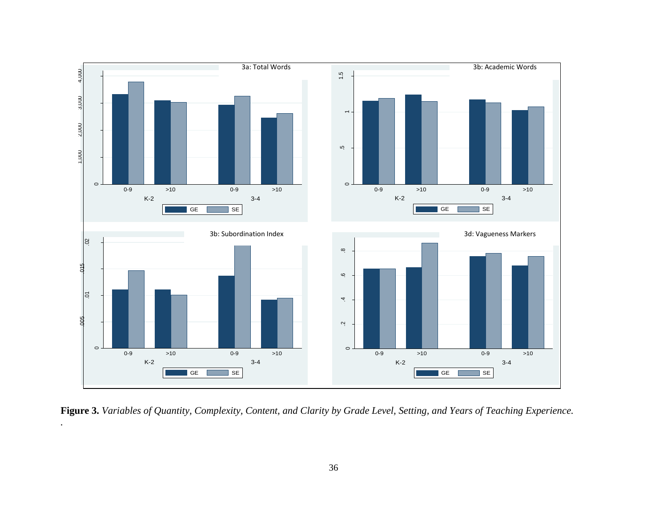

**Figure 3.** *Variables of Quantity, Complexity, Content, and Clarity by Grade Level, Setting, and Years of Teaching Experience.*

*.*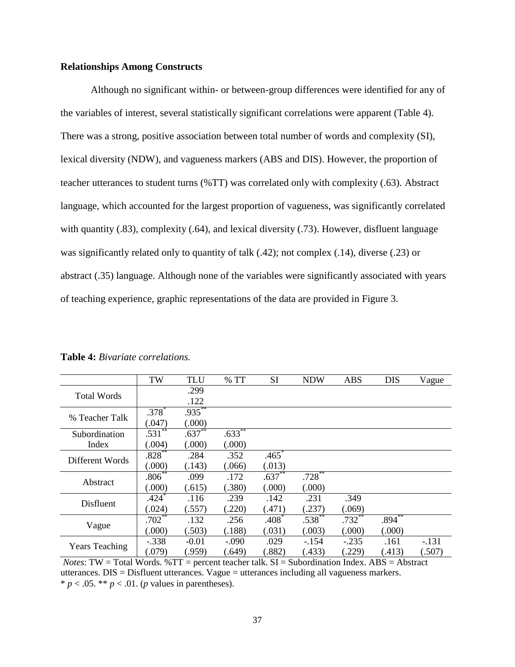## **Relationships Among Constructs**

Although no significant within- or between-group differences were identified for any of the variables of interest, several statistically significant correlations were apparent (Table 4). There was a strong, positive association between total number of words and complexity (SI), lexical diversity (NDW), and vagueness markers (ABS and DIS). However, the proportion of teacher utterances to student turns (%TT) was correlated only with complexity (.63). Abstract language, which accounted for the largest proportion of vagueness, was significantly correlated with quantity (.83), complexity (.64), and lexical diversity (.73). However, disfluent language was significantly related only to quantity of talk (.42); not complex (.14), diverse (.23) or abstract (.35) language. Although none of the variables were significantly associated with years of teaching experience, graphic representations of the data are provided in Figure 3.

|                        | TW                     | <b>TLU</b> | %TT       | SI       | <b>NDW</b>  | <b>ABS</b> | <b>DIS</b> | Vague   |
|------------------------|------------------------|------------|-----------|----------|-------------|------------|------------|---------|
| <b>Total Words</b>     |                        | .299       |           |          |             |            |            |         |
|                        |                        | .122       |           |          |             |            |            |         |
| % Teacher Talk         | $.378*$                | $.935***$  |           |          |             |            |            |         |
|                        | (.047)                 | (.000)     |           |          |             |            |            |         |
| Subordination<br>Index | $.53\overline{1}^{**}$ | $.637**$   | $.633***$ |          |             |            |            |         |
|                        | (.004)                 | (.000)     | (000)     |          |             |            |            |         |
| Different Words        | $.828***$              | .284       | .352      | $.465*$  |             |            |            |         |
|                        | (.000)                 | (.143)     | (.066)    | (.013)   |             |            |            |         |
| Abstract               | $.806**$               | .099       | .172      | $.637**$ | $.728***$   |            |            |         |
|                        | (000)                  | (.615)     | (.380)    | (.000)   | (.000)      |            |            |         |
| Disfluent              | $.424*$                | .116       | .239      | .142     | .231        | .349       |            |         |
|                        | (.024)                 | (.557)     | .220)     | (.471)   | (.237)      | (.069)     |            |         |
| Vague                  | $.702**$               | .132       | .256      | $.408*$  | $.538^{**}$ | $.732***$  | $.894***$  |         |
|                        | (000)                  | (.503)     | (.188)    | (.031)   | (.003)      | (.000)     | (.000)     |         |
| <b>Years Teaching</b>  | $-.338$                | $-0.01$    | $-.090$   | .029     | $-154$      | $-.235$    | .161       | $-.131$ |
|                        | (.079)                 | (.959)     | (.649)    | (.882)   | (.433)      | (.229)     | (.413)     | (.507)  |

# **Table 4:** *Bivariate correlations.*

*Notes*: TW = Total Words.  $\% TT$  = percent teacher talk.  $SI$  = Subordination Index.  $ABS$  = Abstract utterances. DIS = Disfluent utterances. Vague = utterances including all vagueness markers.  $* p < .05. ** p < .01. (p \text{ values in parentheses}).$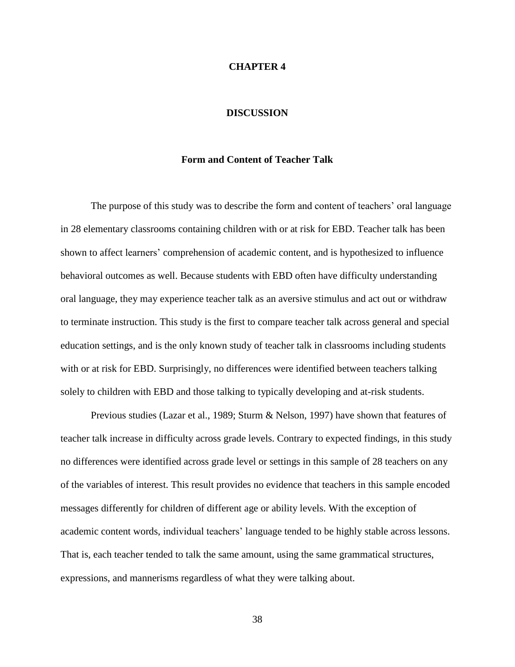#### **CHAPTER 4**

#### **DISCUSSION**

#### **Form and Content of Teacher Talk**

The purpose of this study was to describe the form and content of teachers' oral language in 28 elementary classrooms containing children with or at risk for EBD. Teacher talk has been shown to affect learners' comprehension of academic content, and is hypothesized to influence behavioral outcomes as well. Because students with EBD often have difficulty understanding oral language, they may experience teacher talk as an aversive stimulus and act out or withdraw to terminate instruction. This study is the first to compare teacher talk across general and special education settings, and is the only known study of teacher talk in classrooms including students with or at risk for EBD. Surprisingly, no differences were identified between teachers talking solely to children with EBD and those talking to typically developing and at-risk students.

Previous studies (Lazar et al., 1989; Sturm & Nelson, 1997) have shown that features of teacher talk increase in difficulty across grade levels. Contrary to expected findings, in this study no differences were identified across grade level or settings in this sample of 28 teachers on any of the variables of interest. This result provides no evidence that teachers in this sample encoded messages differently for children of different age or ability levels. With the exception of academic content words, individual teachers' language tended to be highly stable across lessons. That is, each teacher tended to talk the same amount, using the same grammatical structures, expressions, and mannerisms regardless of what they were talking about.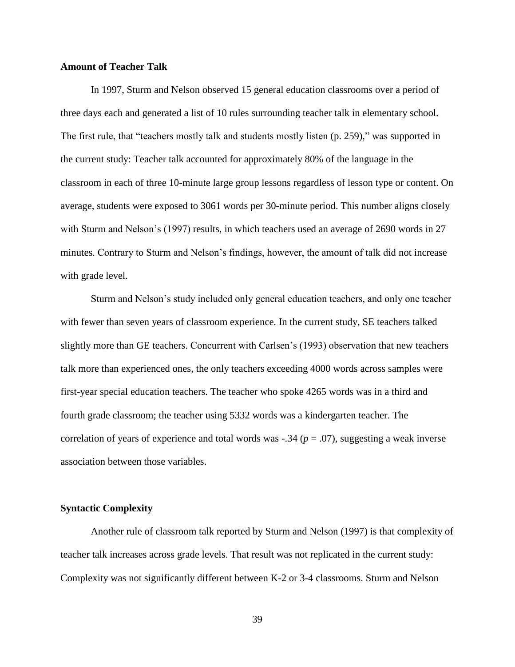# **Amount of Teacher Talk**

In 1997, Sturm and Nelson observed 15 general education classrooms over a period of three days each and generated a list of 10 rules surrounding teacher talk in elementary school. The first rule, that "teachers mostly talk and students mostly listen (p. 259)," was supported in the current study: Teacher talk accounted for approximately 80% of the language in the classroom in each of three 10-minute large group lessons regardless of lesson type or content. On average, students were exposed to 3061 words per 30-minute period. This number aligns closely with Sturm and Nelson's (1997) results, in which teachers used an average of 2690 words in 27 minutes. Contrary to Sturm and Nelson's findings, however, the amount of talk did not increase with grade level.

Sturm and Nelson's study included only general education teachers, and only one teacher with fewer than seven years of classroom experience. In the current study, SE teachers talked slightly more than GE teachers. Concurrent with Carlsen's (1993) observation that new teachers talk more than experienced ones, the only teachers exceeding 4000 words across samples were first-year special education teachers. The teacher who spoke 4265 words was in a third and fourth grade classroom; the teacher using 5332 words was a kindergarten teacher. The correlation of years of experience and total words was  $-.34$  ( $p = .07$ ), suggesting a weak inverse association between those variables.

#### **Syntactic Complexity**

Another rule of classroom talk reported by Sturm and Nelson (1997) is that complexity of teacher talk increases across grade levels. That result was not replicated in the current study: Complexity was not significantly different between K-2 or 3-4 classrooms. Sturm and Nelson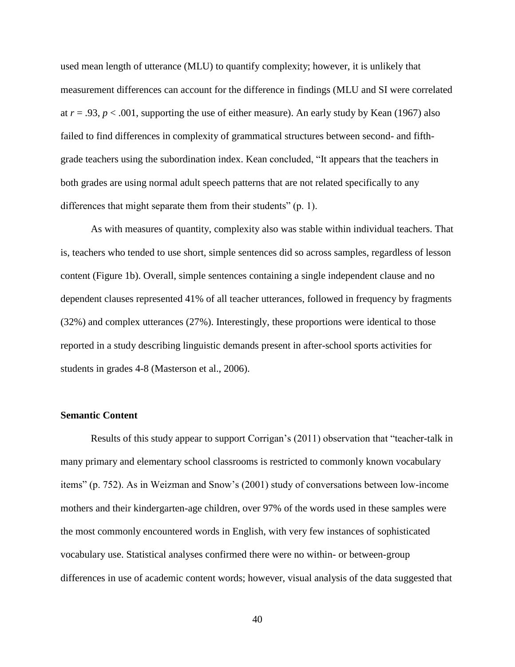used mean length of utterance (MLU) to quantify complexity; however, it is unlikely that measurement differences can account for the difference in findings (MLU and SI were correlated at  $r = .93$ ,  $p < .001$ , supporting the use of either measure). An early study by Kean (1967) also failed to find differences in complexity of grammatical structures between second- and fifthgrade teachers using the subordination index. Kean concluded, "It appears that the teachers in both grades are using normal adult speech patterns that are not related specifically to any differences that might separate them from their students" (p. 1).

As with measures of quantity, complexity also was stable within individual teachers. That is, teachers who tended to use short, simple sentences did so across samples, regardless of lesson content (Figure 1b). Overall, simple sentences containing a single independent clause and no dependent clauses represented 41% of all teacher utterances, followed in frequency by fragments (32%) and complex utterances (27%). Interestingly, these proportions were identical to those reported in a study describing linguistic demands present in after-school sports activities for students in grades 4-8 (Masterson et al., 2006).

# **Semantic Content**

Results of this study appear to support Corrigan's (2011) observation that "teacher-talk in many primary and elementary school classrooms is restricted to commonly known vocabulary items" (p. 752). As in Weizman and Snow's (2001) study of conversations between low-income mothers and their kindergarten-age children, over 97% of the words used in these samples were the most commonly encountered words in English, with very few instances of sophisticated vocabulary use. Statistical analyses confirmed there were no within- or between-group differences in use of academic content words; however, visual analysis of the data suggested that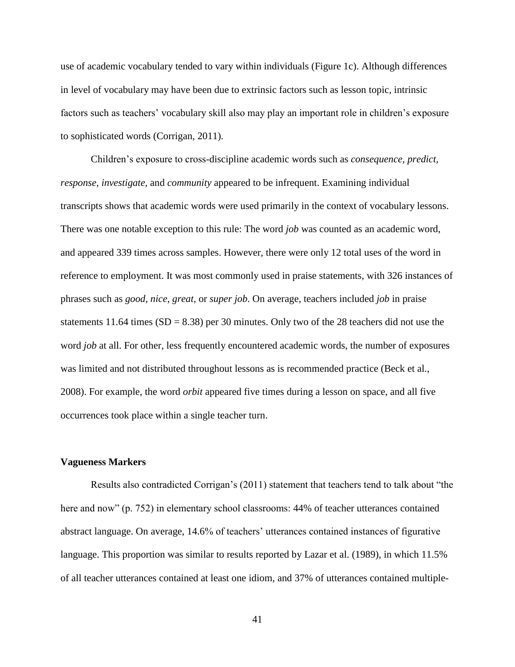use of academic vocabulary tended to vary within individuals (Figure 1c). Although differences in level of vocabulary may have been due to extrinsic factors such as lesson topic, intrinsic factors such as teachers' vocabulary skill also may play an important role in children's exposure to sophisticated words (Corrigan, 2011).

Children's exposure to cross-discipline academic words such as *consequence, predict, response, investigate,* and *community* appeared to be infrequent. Examining individual transcripts shows that academic words were used primarily in the context of vocabulary lessons. There was one notable exception to this rule: The word *job* was counted as an academic word, and appeared 339 times across samples. However, there were only 12 total uses of the word in reference to employment. It was most commonly used in praise statements, with 326 instances of phrases such as *good, nice, great,* or *super job*. On average, teachers included *job* in praise statements 11.64 times ( $SD = 8.38$ ) per 30 minutes. Only two of the 28 teachers did not use the word *job* at all. For other, less frequently encountered academic words, the number of exposures was limited and not distributed throughout lessons as is recommended practice (Beck et al., 2008). For example, the word *orbit* appeared five times during a lesson on space, and all five occurrences took place within a single teacher turn.

# **Vagueness Markers**

Results also contradicted Corrigan's (2011) statement that teachers tend to talk about "the here and now" (p. 752) in elementary school classrooms: 44% of teacher utterances contained abstract language. On average, 14.6% of teachers' utterances contained instances of figurative language. This proportion was similar to results reported by Lazar et al. (1989), in which 11.5% of all teacher utterances contained at least one idiom, and 37% of utterances contained multiple-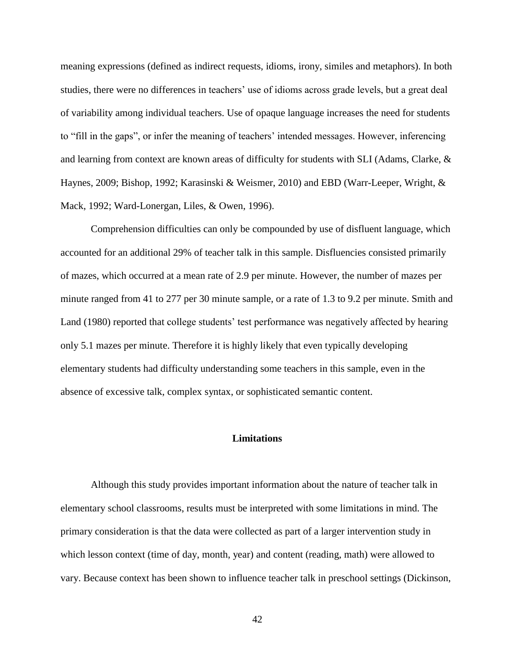meaning expressions (defined as indirect requests, idioms, irony, similes and metaphors). In both studies, there were no differences in teachers' use of idioms across grade levels, but a great deal of variability among individual teachers. Use of opaque language increases the need for students to "fill in the gaps", or infer the meaning of teachers' intended messages. However, inferencing and learning from context are known areas of difficulty for students with SLI (Adams, Clarke, & Haynes, 2009; Bishop, 1992; Karasinski & Weismer, 2010) and EBD (Warr-Leeper, Wright, & Mack, 1992; Ward-Lonergan, Liles, & Owen, 1996).

Comprehension difficulties can only be compounded by use of disfluent language, which accounted for an additional 29% of teacher talk in this sample. Disfluencies consisted primarily of mazes, which occurred at a mean rate of 2.9 per minute. However, the number of mazes per minute ranged from 41 to 277 per 30 minute sample, or a rate of 1.3 to 9.2 per minute. Smith and Land (1980) reported that college students' test performance was negatively affected by hearing only 5.1 mazes per minute. Therefore it is highly likely that even typically developing elementary students had difficulty understanding some teachers in this sample, even in the absence of excessive talk, complex syntax, or sophisticated semantic content.

## **Limitations**

Although this study provides important information about the nature of teacher talk in elementary school classrooms, results must be interpreted with some limitations in mind. The primary consideration is that the data were collected as part of a larger intervention study in which lesson context (time of day, month, year) and content (reading, math) were allowed to vary. Because context has been shown to influence teacher talk in preschool settings (Dickinson,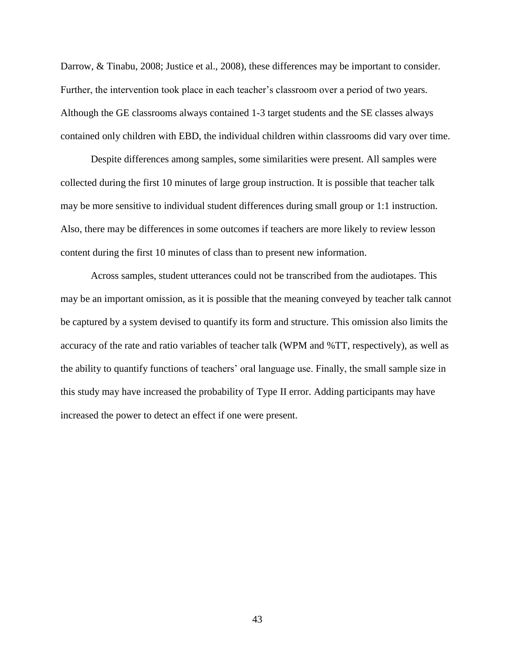Darrow, & Tinabu, 2008; Justice et al., 2008), these differences may be important to consider. Further, the intervention took place in each teacher's classroom over a period of two years. Although the GE classrooms always contained 1-3 target students and the SE classes always contained only children with EBD, the individual children within classrooms did vary over time.

Despite differences among samples, some similarities were present. All samples were collected during the first 10 minutes of large group instruction. It is possible that teacher talk may be more sensitive to individual student differences during small group or 1:1 instruction. Also, there may be differences in some outcomes if teachers are more likely to review lesson content during the first 10 minutes of class than to present new information.

Across samples, student utterances could not be transcribed from the audiotapes. This may be an important omission, as it is possible that the meaning conveyed by teacher talk cannot be captured by a system devised to quantify its form and structure. This omission also limits the accuracy of the rate and ratio variables of teacher talk (WPM and %TT, respectively), as well as the ability to quantify functions of teachers' oral language use. Finally, the small sample size in this study may have increased the probability of Type II error. Adding participants may have increased the power to detect an effect if one were present.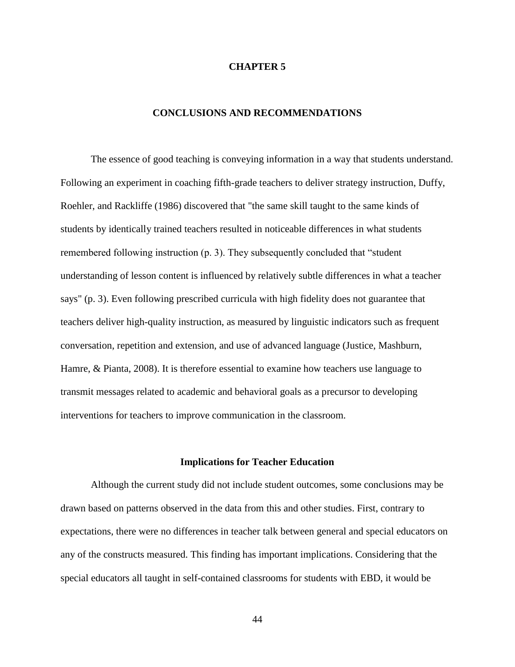#### **CHAPTER 5**

# **CONCLUSIONS AND RECOMMENDATIONS**

The essence of good teaching is conveying information in a way that students understand. Following an experiment in coaching fifth-grade teachers to deliver strategy instruction, Duffy, Roehler, and Rackliffe (1986) discovered that "the same skill taught to the same kinds of students by identically trained teachers resulted in noticeable differences in what students remembered following instruction (p. 3). They subsequently concluded that "student understanding of lesson content is influenced by relatively subtle differences in what a teacher says" (p. 3). Even following prescribed curricula with high fidelity does not guarantee that teachers deliver high-quality instruction, as measured by linguistic indicators such as frequent conversation, repetition and extension, and use of advanced language (Justice, Mashburn, Hamre, & Pianta, 2008). It is therefore essential to examine how teachers use language to transmit messages related to academic and behavioral goals as a precursor to developing interventions for teachers to improve communication in the classroom.

#### **Implications for Teacher Education**

Although the current study did not include student outcomes, some conclusions may be drawn based on patterns observed in the data from this and other studies. First, contrary to expectations, there were no differences in teacher talk between general and special educators on any of the constructs measured. This finding has important implications. Considering that the special educators all taught in self-contained classrooms for students with EBD, it would be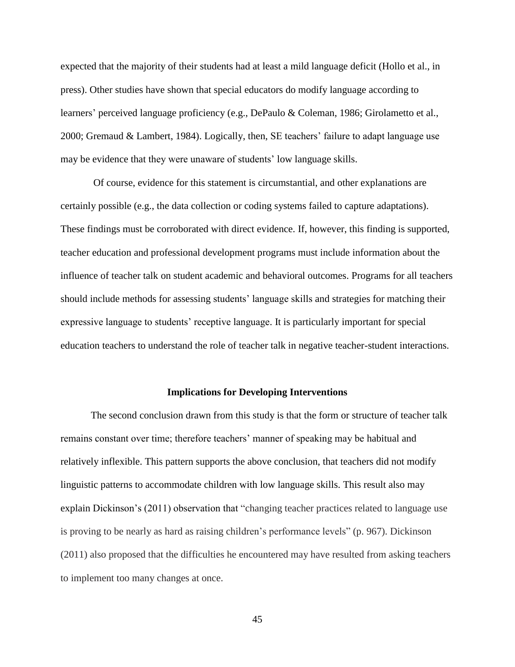expected that the majority of their students had at least a mild language deficit (Hollo et al., in press). Other studies have shown that special educators do modify language according to learners' perceived language proficiency (e.g., DePaulo & Coleman, 1986; Girolametto et al., 2000; Gremaud & Lambert, 1984). Logically, then, SE teachers' failure to adapt language use may be evidence that they were unaware of students' low language skills.

Of course, evidence for this statement is circumstantial, and other explanations are certainly possible (e.g., the data collection or coding systems failed to capture adaptations). These findings must be corroborated with direct evidence. If, however, this finding is supported, teacher education and professional development programs must include information about the influence of teacher talk on student academic and behavioral outcomes. Programs for all teachers should include methods for assessing students' language skills and strategies for matching their expressive language to students' receptive language. It is particularly important for special education teachers to understand the role of teacher talk in negative teacher-student interactions.

#### **Implications for Developing Interventions**

The second conclusion drawn from this study is that the form or structure of teacher talk remains constant over time; therefore teachers' manner of speaking may be habitual and relatively inflexible. This pattern supports the above conclusion, that teachers did not modify linguistic patterns to accommodate children with low language skills. This result also may explain Dickinson's (2011) observation that "changing teacher practices related to language use is proving to be nearly as hard as raising children's performance levels" (p. 967). Dickinson (2011) also proposed that the difficulties he encountered may have resulted from asking teachers to implement too many changes at once.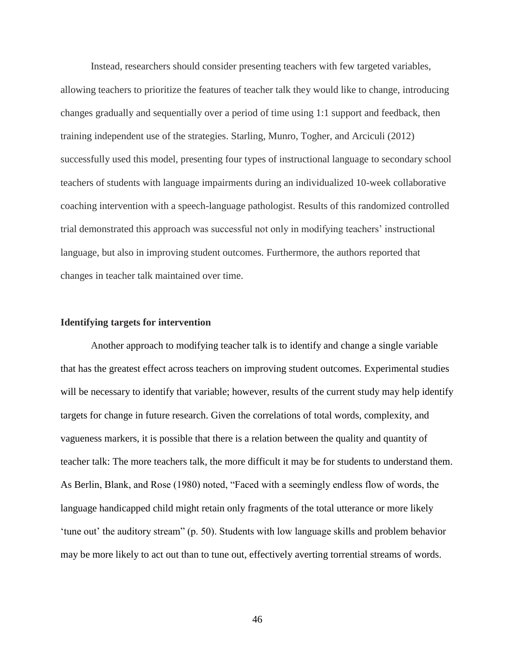Instead, researchers should consider presenting teachers with few targeted variables, allowing teachers to prioritize the features of teacher talk they would like to change, introducing changes gradually and sequentially over a period of time using 1:1 support and feedback, then training independent use of the strategies. Starling, Munro, Togher, and Arciculi (2012) successfully used this model, presenting four types of instructional language to secondary school teachers of students with language impairments during an individualized 10-week collaborative coaching intervention with a speech-language pathologist. Results of this randomized controlled trial demonstrated this approach was successful not only in modifying teachers' instructional language, but also in improving student outcomes. Furthermore, the authors reported that changes in teacher talk maintained over time.

## **Identifying targets for intervention**

Another approach to modifying teacher talk is to identify and change a single variable that has the greatest effect across teachers on improving student outcomes. Experimental studies will be necessary to identify that variable; however, results of the current study may help identify targets for change in future research. Given the correlations of total words, complexity, and vagueness markers, it is possible that there is a relation between the quality and quantity of teacher talk: The more teachers talk, the more difficult it may be for students to understand them. As Berlin, Blank, and Rose (1980) noted, "Faced with a seemingly endless flow of words, the language handicapped child might retain only fragments of the total utterance or more likely 'tune out' the auditory stream" (p. 50). Students with low language skills and problem behavior may be more likely to act out than to tune out, effectively averting torrential streams of words.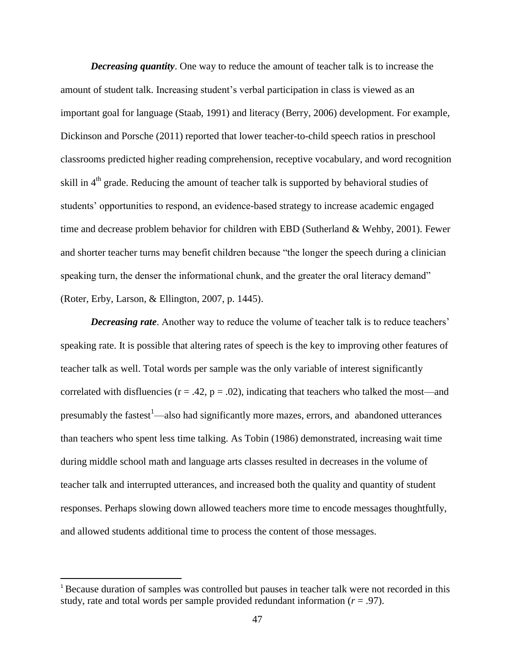*Decreasing quantity*. One way to reduce the amount of teacher talk is to increase the amount of student talk. Increasing student's verbal participation in class is viewed as an important goal for language (Staab, 1991) and literacy (Berry, 2006) development. For example, Dickinson and Porsche (2011) reported that lower teacher-to-child speech ratios in preschool classrooms predicted higher reading comprehension, receptive vocabulary, and word recognition skill in  $4<sup>th</sup>$  grade. Reducing the amount of teacher talk is supported by behavioral studies of students' opportunities to respond, an evidence-based strategy to increase academic engaged time and decrease problem behavior for children with EBD (Sutherland & Wehby, 2001). Fewer and shorter teacher turns may benefit children because "the longer the speech during a clinician speaking turn, the denser the informational chunk, and the greater the oral literacy demand" (Roter, Erby, Larson, & Ellington, 2007, p. 1445).

**Decreasing rate.** Another way to reduce the volume of teacher talk is to reduce teachers' speaking rate. It is possible that altering rates of speech is the key to improving other features of teacher talk as well. Total words per sample was the only variable of interest significantly correlated with disfluencies ( $r = .42$ ,  $p = .02$ ), indicating that teachers who talked the most—and presumably the fastest<sup>1</sup>—also had significantly more mazes, errors, and abandoned utterances than teachers who spent less time talking. As Tobin (1986) demonstrated, increasing wait time during middle school math and language arts classes resulted in decreases in the volume of teacher talk and interrupted utterances, and increased both the quality and quantity of student responses. Perhaps slowing down allowed teachers more time to encode messages thoughtfully, and allowed students additional time to process the content of those messages.

l

<sup>&</sup>lt;sup>1</sup> Because duration of samples was controlled but pauses in teacher talk were not recorded in this study, rate and total words per sample provided redundant information  $(r = .97)$ .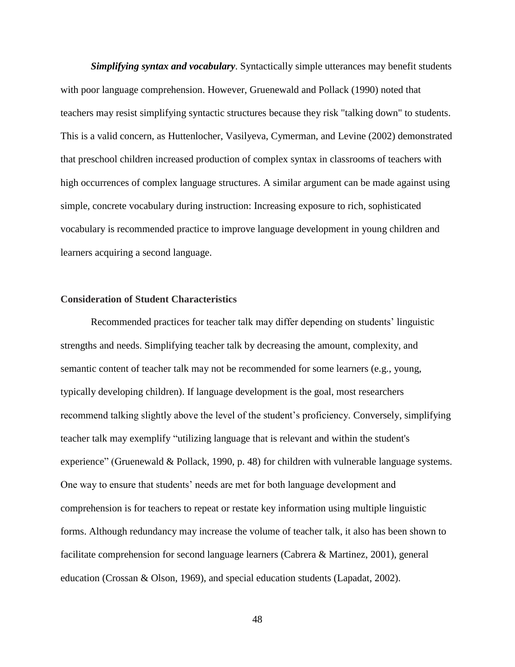*Simplifying syntax and vocabulary*. Syntactically simple utterances may benefit students with poor language comprehension. However, Gruenewald and Pollack (1990) noted that teachers may resist simplifying syntactic structures because they risk "talking down" to students. This is a valid concern, as Huttenlocher, Vasilyeva, Cymerman, and Levine (2002) demonstrated that preschool children increased production of complex syntax in classrooms of teachers with high occurrences of complex language structures. A similar argument can be made against using simple, concrete vocabulary during instruction: Increasing exposure to rich, sophisticated vocabulary is recommended practice to improve language development in young children and learners acquiring a second language.

### **Consideration of Student Characteristics**

Recommended practices for teacher talk may differ depending on students' linguistic strengths and needs. Simplifying teacher talk by decreasing the amount, complexity, and semantic content of teacher talk may not be recommended for some learners (e.g., young, typically developing children). If language development is the goal, most researchers recommend talking slightly above the level of the student's proficiency. Conversely, simplifying teacher talk may exemplify "utilizing language that is relevant and within the student's experience" (Gruenewald & Pollack, 1990, p. 48) for children with vulnerable language systems. One way to ensure that students' needs are met for both language development and comprehension is for teachers to repeat or restate key information using multiple linguistic forms. Although redundancy may increase the volume of teacher talk, it also has been shown to facilitate comprehension for second language learners (Cabrera & Martinez, 2001), general education (Crossan & Olson, 1969), and special education students (Lapadat, 2002).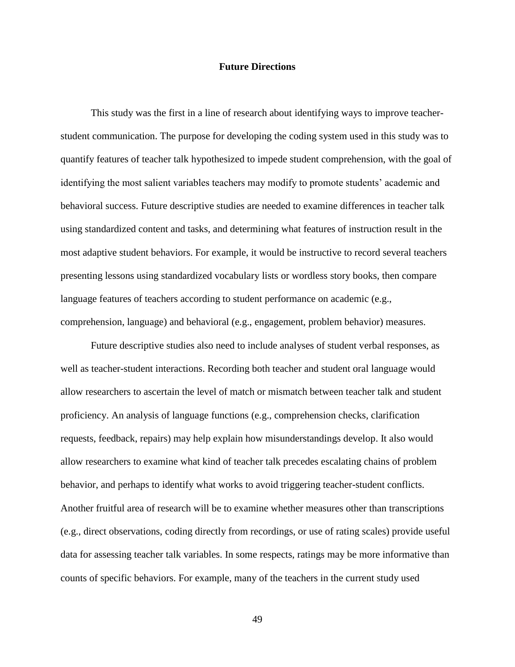# **Future Directions**

This study was the first in a line of research about identifying ways to improve teacherstudent communication. The purpose for developing the coding system used in this study was to quantify features of teacher talk hypothesized to impede student comprehension, with the goal of identifying the most salient variables teachers may modify to promote students' academic and behavioral success. Future descriptive studies are needed to examine differences in teacher talk using standardized content and tasks, and determining what features of instruction result in the most adaptive student behaviors. For example, it would be instructive to record several teachers presenting lessons using standardized vocabulary lists or wordless story books, then compare language features of teachers according to student performance on academic (e.g., comprehension, language) and behavioral (e.g., engagement, problem behavior) measures.

Future descriptive studies also need to include analyses of student verbal responses, as well as teacher-student interactions. Recording both teacher and student oral language would allow researchers to ascertain the level of match or mismatch between teacher talk and student proficiency. An analysis of language functions (e.g., comprehension checks, clarification requests, feedback, repairs) may help explain how misunderstandings develop. It also would allow researchers to examine what kind of teacher talk precedes escalating chains of problem behavior, and perhaps to identify what works to avoid triggering teacher-student conflicts. Another fruitful area of research will be to examine whether measures other than transcriptions (e.g., direct observations, coding directly from recordings, or use of rating scales) provide useful data for assessing teacher talk variables. In some respects, ratings may be more informative than counts of specific behaviors. For example, many of the teachers in the current study used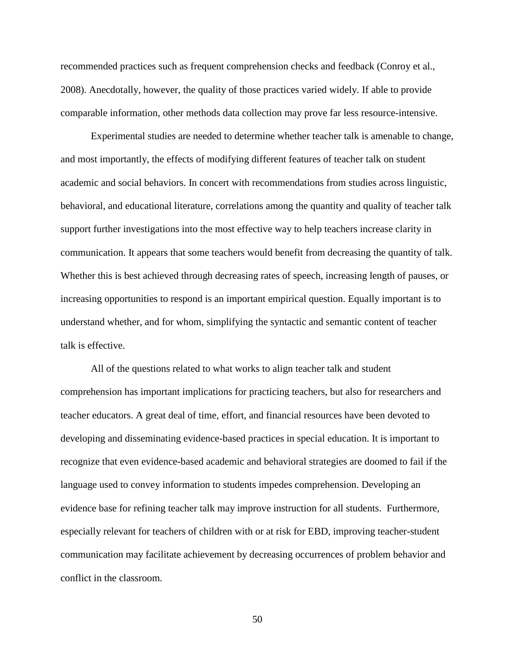recommended practices such as frequent comprehension checks and feedback (Conroy et al., 2008). Anecdotally, however, the quality of those practices varied widely. If able to provide comparable information, other methods data collection may prove far less resource-intensive.

Experimental studies are needed to determine whether teacher talk is amenable to change, and most importantly, the effects of modifying different features of teacher talk on student academic and social behaviors. In concert with recommendations from studies across linguistic, behavioral, and educational literature, correlations among the quantity and quality of teacher talk support further investigations into the most effective way to help teachers increase clarity in communication. It appears that some teachers would benefit from decreasing the quantity of talk. Whether this is best achieved through decreasing rates of speech, increasing length of pauses, or increasing opportunities to respond is an important empirical question. Equally important is to understand whether, and for whom, simplifying the syntactic and semantic content of teacher talk is effective.

All of the questions related to what works to align teacher talk and student comprehension has important implications for practicing teachers, but also for researchers and teacher educators. A great deal of time, effort, and financial resources have been devoted to developing and disseminating evidence-based practices in special education. It is important to recognize that even evidence-based academic and behavioral strategies are doomed to fail if the language used to convey information to students impedes comprehension. Developing an evidence base for refining teacher talk may improve instruction for all students. Furthermore, especially relevant for teachers of children with or at risk for EBD, improving teacher-student communication may facilitate achievement by decreasing occurrences of problem behavior and conflict in the classroom.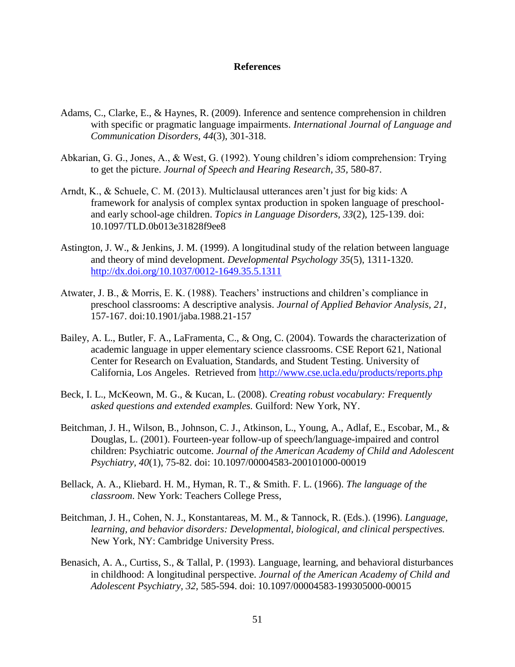### **References**

- Adams, C., Clarke, E., & Haynes, R. (2009). Inference and sentence comprehension in children with specific or pragmatic language impairments. *International Journal of Language and Communication Disorders, 44*(3), 301-318.
- Abkarian, G. G., Jones, A., & West, G. (1992). Young children's idiom comprehension: Trying to get the picture. *Journal of Speech and Hearing Research, 35,* 580-87.
- Arndt, K., & Schuele, C. M. (2013). Multiclausal utterances aren't just for big kids: A framework for analysis of complex syntax production in spoken language of preschooland early school-age children. *Topics in Language Disorders, 33*(2), 125-139. doi: 10.1097/TLD.0b013e31828f9ee8
- Astington, J. W., & Jenkins, J. M. (1999). A longitudinal study of the relation between language and theory of mind development. *Developmental Psychology 35*(5), 1311-1320. <http://dx.doi.org/10.1037/0012-1649.35.5.1311>
- Atwater, J. B., & Morris, E. K. (1988). Teachers' instructions and children's compliance in preschool classrooms: A descriptive analysis. *Journal of Applied Behavior Analysis, 21,* 157-167. doi:10.1901/jaba.1988.21-157
- Bailey, A. L., Butler, F. A., LaFramenta, C., & Ong, C. (2004). Towards the characterization of academic language in upper elementary science classrooms. CSE Report 621, National Center for Research on Evaluation, Standards, and Student Testing. University of California, Los Angeles. Retrieved from<http://www.cse.ucla.edu/products/reports.php>
- Beck, I. L., McKeown, M. G., & Kucan, L. (2008). *Creating robust vocabulary: Frequently asked questions and extended examples.* Guilford: New York, NY.
- Beitchman, J. H., Wilson, B., Johnson, C. J., Atkinson, L., Young, A., Adlaf, E., Escobar, M., & Douglas, L. (2001). Fourteen-year follow-up of speech/language-impaired and control children: Psychiatric outcome. *Journal of the American Academy of Child and Adolescent Psychiatry, 40*(1), 75-82. doi: 10.1097/00004583-200101000-00019
- Bellack, A. A., Kliebard. H. M., Hyman, R. T., & Smith. F. L. (1966). *The language of the classroom*. New York: Teachers College Press,
- Beitchman, J. H., Cohen, N. J., Konstantareas, M. M., & Tannock, R. (Eds.). (1996). *Language, learning, and behavior disorders: Developmental, biological, and clinical perspectives.* New York, NY: Cambridge University Press.
- Benasich, A. A., Curtiss, S., & Tallal, P. (1993). Language, learning, and behavioral disturbances in childhood: A longitudinal perspective. *Journal of the American Academy of Child and Adolescent Psychiatry, 32,* 585-594. doi: 10.1097/00004583-199305000-00015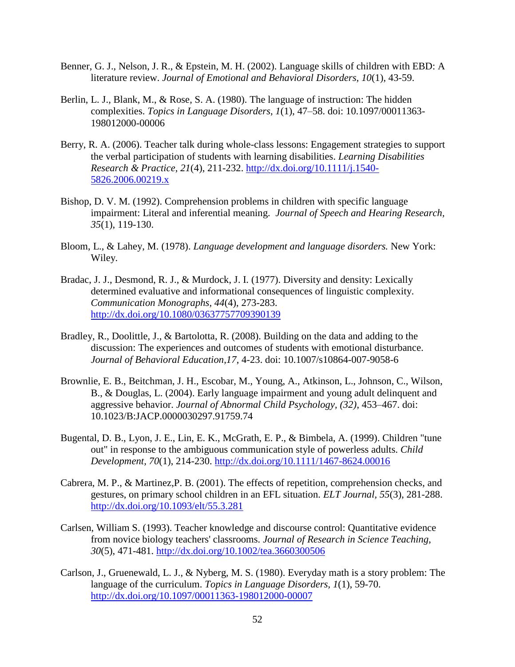- Benner, G. J., Nelson, J. R., & Epstein, M. H. (2002). Language skills of children with EBD: A literature review. *Journal of Emotional and Behavioral Disorders, 10*(1), 43-59.
- Berlin, L. J., Blank, M., & Rose, S. A. (1980). The language of instruction: The hidden complexities. *Topics in Language Disorders, 1*(1), 47–58. doi: 10.1097/00011363- 198012000-00006
- Berry, R. A. (2006). Teacher talk during whole-class lessons: Engagement strategies to support the verbal participation of students with learning disabilities. *Learning Disabilities Research & Practice, 21*(4), 211-232. [http://dx.doi.org/10.1111/j.1540-](http://dx.doi.org/10.1111/j.1540-5826.2006.00219.x) [5826.2006.00219.x](http://dx.doi.org/10.1111/j.1540-5826.2006.00219.x)
- Bishop, D. V. M. (1992). Comprehension problems in children with specific language impairment: Literal and inferential meaning. *Journal of Speech and Hearing Research, 35*(1), 119-130.
- Bloom, L., & Lahey, M. (1978). *Language development and language disorders.* New York: Wiley.
- Bradac, J. J., Desmond, R. J., & Murdock, J. I. (1977). Diversity and density: Lexically determined evaluative and informational consequences of linguistic complexity. *Communication Monographs, 44*(4), 273-283. <http://dx.doi.org/10.1080/03637757709390139>
- Bradley, R., Doolittle, J., & Bartolotta, R. (2008). Building on the data and adding to the discussion: The experiences and outcomes of students with emotional disturbance. *Journal of Behavioral Education,17*, 4-23. doi: 10.1007/s10864-007-9058-6
- Brownlie, E. B., Beitchman, J. H., Escobar, M., Young, A., Atkinson, L., Johnson, C., Wilson, B., & Douglas, L. (2004). Early language impairment and young adult delinquent and aggressive behavior. *Journal of Abnormal Child Psychology, (32)*, 453–467. doi: 10.1023/B:JACP.0000030297.91759.74
- Bugental, D. B., Lyon, J. E., Lin, E. K., McGrath, E. P., & Bimbela, A. (1999). Children "tune out" in response to the ambiguous communication style of powerless adults. *Child Development, 70*(1), 214-230.<http://dx.doi.org/10.1111/1467-8624.00016>
- Cabrera, M. P., & Martinez,P. B. (2001). The effects of repetition, comprehension checks, and gestures, on primary school children in an EFL situation. *ELT Journal, 55*(3), 281-288. <http://dx.doi.org/10.1093/elt/55.3.281>
- Carlsen, William S. (1993). Teacher knowledge and discourse control: Quantitative evidence from novice biology teachers' classrooms. *Journal of Research in Science Teaching, 30*(5), 471-481.<http://dx.doi.org/10.1002/tea.3660300506>
- Carlson, J., Gruenewald, L. J., & Nyberg, M. S. (1980). Everyday math is a story problem: The language of the curriculum. *Topics in Language Disorders, 1*(1), 59-70. <http://dx.doi.org/10.1097/00011363-198012000-00007>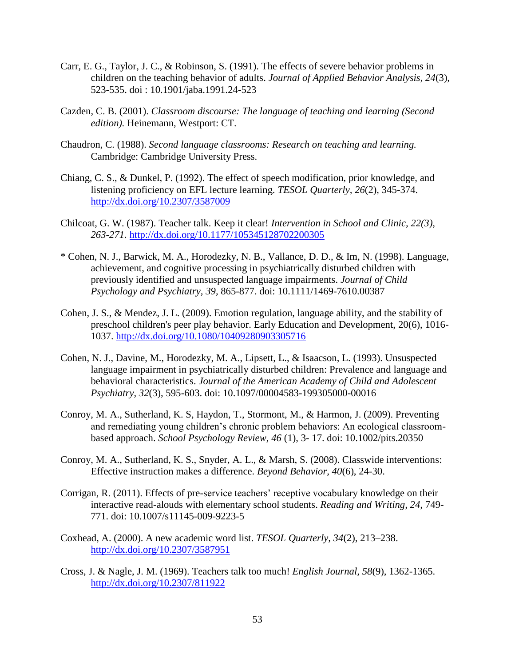- Carr, E. G., Taylor, J. C., & Robinson, S. (1991). The effects of severe behavior problems in children on the teaching behavior of adults. *Journal of Applied Behavior Analysis, 24*(3)*,*  523-535. doi : 10.1901/jaba.1991.24-523
- Cazden, C. B. (2001). *Classroom discourse: The language of teaching and learning (Second edition).* Heinemann, Westport: CT.
- Chaudron, C. (1988). *Second language classrooms: Research on teaching and learning.* Cambridge: Cambridge University Press.
- Chiang, C. S., & Dunkel, P. (1992). The effect of speech modification, prior knowledge, and listening proficiency on EFL lecture learning. *TESOL Quarterly, 26*(2), 345-374. <http://dx.doi.org/10.2307/3587009>
- Chilcoat, G. W. (1987). Teacher talk. Keep it clear! *Intervention in School and Clinic, 22(3), 263-271.* <http://dx.doi.org/10.1177/105345128702200305>
- \* Cohen, N. J., Barwick, M. A., Horodezky, N. B., Vallance, D. D., & Im, N. (1998). Language, achievement, and cognitive processing in psychiatrically disturbed children with previously identified and unsuspected language impairments. *Journal of Child Psychology and Psychiatry, 39,* 865-877. doi: 10.1111/1469-7610.00387
- Cohen, J. S., & Mendez, J. L. (2009). Emotion regulation, language ability, and the stability of preschool children's peer play behavior. Early Education and Development, 20(6), 1016- 1037.<http://dx.doi.org/10.1080/10409280903305716>
- Cohen, N. J., Davine, M., Horodezky, M. A., Lipsett, L., & Isaacson, L. (1993). Unsuspected language impairment in psychiatrically disturbed children: Prevalence and language and behavioral characteristics. *Journal of the American Academy of Child and Adolescent Psychiatry, 32*(3), 595-603. doi: 10.1097/00004583-199305000-00016
- Conroy, M. A., Sutherland, K. S, Haydon, T., Stormont, M., & Harmon, J. (2009). Preventing and remediating young children's chronic problem behaviors: An ecological classroombased approach. *School Psychology Review, 46* (1), 3- 17. doi: 10.1002/pits.20350
- Conroy, M. A., Sutherland, K. S., Snyder, A. L., & Marsh, S. (2008). Classwide interventions: Effective instruction makes a difference. *Beyond Behavior, 40*(6), 24-30.
- Corrigan, R. (2011). Effects of pre-service teachers' receptive vocabulary knowledge on their interactive read-alouds with elementary school students. *Reading and Writing, 24,* 749- 771. doi: 10.1007/s11145-009-9223-5
- Coxhead, A. (2000). A new academic word list. *TESOL Quarterly, 34*(2), 213–238. <http://dx.doi.org/10.2307/3587951>
- Cross, J. & Nagle, J. M. (1969). Teachers talk too much! *English Journal, 58*(9), 1362-1365. <http://dx.doi.org/10.2307/811922>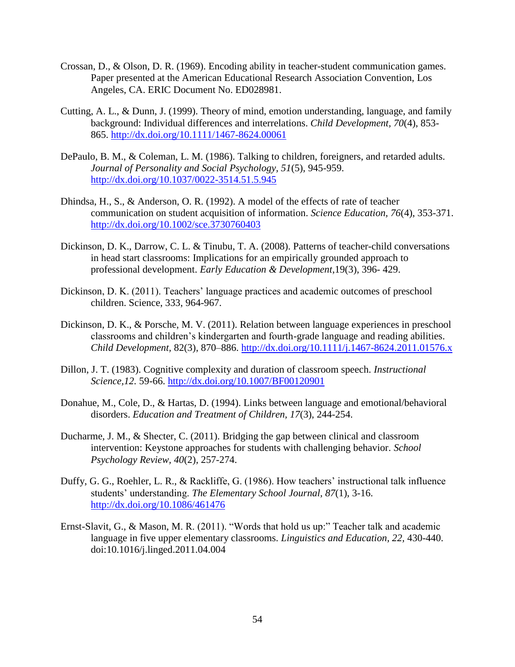- Crossan, D., & Olson, D. R. (1969). Encoding ability in teacher-student communication games. Paper presented at the American Educational Research Association Convention, Los Angeles, CA. ERIC Document No. ED028981.
- Cutting, A. L., & Dunn, J. (1999). Theory of mind, emotion understanding, language, and family background: Individual differences and interrelations. *Child Development, 70*(4), 853- 865.<http://dx.doi.org/10.1111/1467-8624.00061>
- DePaulo, B. M., & Coleman, L. M. (1986). Talking to children, foreigners, and retarded adults. *Journal of Personality and Social Psychology, 51*(5), 945-959. <http://dx.doi.org/10.1037/0022-3514.51.5.945>
- Dhindsa, H., S., & Anderson, O. R. (1992). A model of the effects of rate of teacher communication on student acquisition of information. *Science Education, 76*(4), 353-371. <http://dx.doi.org/10.1002/sce.3730760403>
- Dickinson, D. K., Darrow, C. L. & Tinubu, T. A. (2008). Patterns of teacher-child conversations in head start classrooms: Implications for an empirically grounded approach to professional development. *Early Education & Development*,19(3), 396- 429.
- Dickinson, D. K. (2011). Teachers' language practices and academic outcomes of preschool children. Science, 333, 964-967.
- Dickinson, D. K., & Porsche, M. V. (2011). Relation between language experiences in preschool classrooms and children's kindergarten and fourth-grade language and reading abilities. *Child Development,* 82(3), 870–886.<http://dx.doi.org/10.1111/j.1467-8624.2011.01576.x>
- Dillon, J. T. (1983). Cognitive complexity and duration of classroom speech. *Instructional Science,12.* 59-66.<http://dx.doi.org/10.1007/BF00120901>
- Donahue, M., Cole, D., & Hartas, D. (1994). Links between language and emotional/behavioral disorders. *Education and Treatment of Children, 17*(3), 244-254.
- Ducharme, J. M., & Shecter, C. (2011). Bridging the gap between clinical and classroom intervention: Keystone approaches for students with challenging behavior. *School Psychology Review, 40*(2), 257-274.
- Duffy, G. G., Roehler, L. R., & Rackliffe, G. (1986). How teachers' instructional talk influence students' understanding. *The Elementary School Journal, 87*(1), 3-16. <http://dx.doi.org/10.1086/461476>
- Ernst-Slavit, G., & Mason, M. R. (2011). "Words that hold us up:" Teacher talk and academic language in five upper elementary classrooms. *Linguistics and Education, 22,* 430-440. doi:10.1016/j.linged.2011.04.004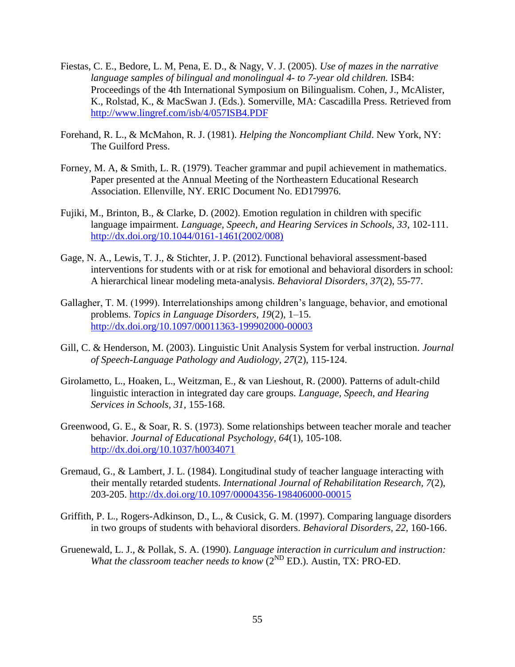- Fiestas, C. E., Bedore, L. M, Pena, E. D., & Nagy, V. J. (2005). *Use of mazes in the narrative language samples of bilingual and monolingual 4- to 7-year old children.* ISB4: Proceedings of the 4th International Symposium on Bilingualism. Cohen, J., McAlister, K., Rolstad, K., & MacSwan J. (Eds.). Somerville, MA: Cascadilla Press. Retrieved from <http://www.lingref.com/isb/4/057ISB4.PDF>
- Forehand, R. L., & McMahon, R. J. (1981). *Helping the Noncompliant Child*. New York, NY: The Guilford Press.
- Forney, M. A, & Smith, L. R. (1979). Teacher grammar and pupil achievement in mathematics. Paper presented at the Annual Meeting of the Northeastern Educational Research Association. Ellenville, NY. ERIC Document No. ED179976.
- Fujiki, M., Brinton, B., & Clarke, D. (2002). Emotion regulation in children with specific language impairment. *Language, Speech, and Hearing Services in Schools, 33*, 102-111. [http://dx.doi.org/10.1044/0161-1461\(2002/008\)](http://dx.doi.org/10.1044/0161-1461(2002/008))
- Gage, N. A., Lewis, T. J., & Stichter, J. P. (2012). Functional behavioral assessment-based interventions for students with or at risk for emotional and behavioral disorders in school: A hierarchical linear modeling meta-analysis. *Behavioral Disorders, 37*(2), 55-77.
- Gallagher, T. M. (1999). Interrelationships among children's language, behavior, and emotional problems. *Topics in Language Disorders, 19*(2), 1–15. <http://dx.doi.org/10.1097/00011363-199902000-00003>
- Gill, C. & Henderson, M. (2003). Linguistic Unit Analysis System for verbal instruction. *Journal of Speech-Language Pathology and Audiology, 27*(2), 115-124.
- Girolametto, L., Hoaken, L., Weitzman, E., & van Lieshout, R. (2000). Patterns of adult-child linguistic interaction in integrated day care groups. *Language, Speech, and Hearing Services in Schools, 31,* 155-168.
- Greenwood, G. E., & Soar, R. S. (1973). Some relationships between teacher morale and teacher behavior. *Journal of Educational Psychology, 64*(1), 105-108. <http://dx.doi.org/10.1037/h0034071>
- Gremaud, G., & Lambert, J. L. (1984). Longitudinal study of teacher language interacting with their mentally retarded students. *International Journal of Rehabilitation Research, 7*(2), 203-205.<http://dx.doi.org/10.1097/00004356-198406000-00015>
- Griffith, P. L., Rogers-Adkinson, D., L., & Cusick, G. M. (1997). Comparing language disorders in two groups of students with behavioral disorders. *Behavioral Disorders, 22,* 160-166.
- Gruenewald, L. J., & Pollak, S. A. (1990). *Language interaction in curriculum and instruction: What the classroom teacher needs to know* (2<sup>ND</sup> ED.). Austin, TX: PRO-ED.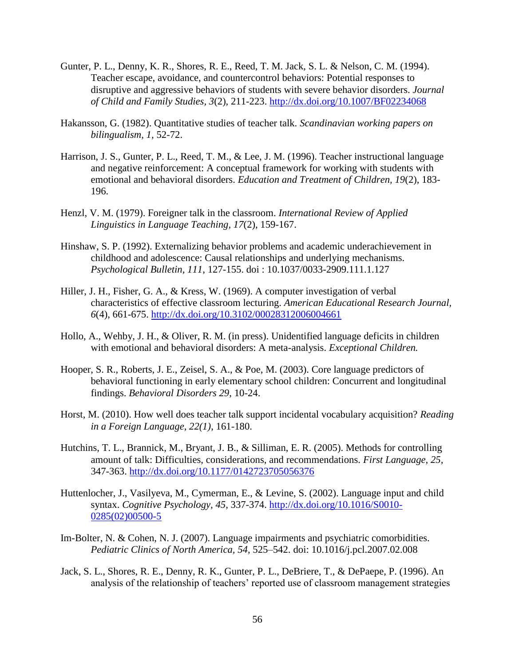- Gunter, P. L., Denny, K. R., Shores, R. E., Reed, T. M. Jack, S. L. & Nelson, C. M. (1994). Teacher escape, avoidance, and countercontrol behaviors: Potential responses to disruptive and aggressive behaviors of students with severe behavior disorders. *Journal of Child and Family Studies, 3*(2), 211-223.<http://dx.doi.org/10.1007/BF02234068>
- Hakansson, G. (1982). Quantitative studies of teacher talk. *Scandinavian working papers on bilingualism, 1,* 52-72.
- Harrison, J. S., Gunter, P. L., Reed, T. M., & Lee, J. M. (1996). Teacher instructional language and negative reinforcement: A conceptual framework for working with students with emotional and behavioral disorders. *Education and Treatment of Children, 19*(2), 183- 196.
- Henzl, V. M. (1979). Foreigner talk in the classroom. *International Review of Applied Linguistics in Language Teaching, 17*(2), 159-167.
- Hinshaw, S. P. (1992). Externalizing behavior problems and academic underachievement in childhood and adolescence: Causal relationships and underlying mechanisms. *Psychological Bulletin, 111,* 127-155. doi : 10.1037/0033-2909.111.1.127
- Hiller, J. H., Fisher, G. A., & Kress, W. (1969). A computer investigation of verbal characteristics of effective classroom lecturing. *American Educational Research Journal, 6*(4), 661-675.<http://dx.doi.org/10.3102/00028312006004661>
- Hollo, A., Wehby, J. H., & Oliver, R. M. (in press). Unidentified language deficits in children with emotional and behavioral disorders: A meta-analysis. *Exceptional Children.*
- Hooper, S. R., Roberts, J. E., Zeisel, S. A., & Poe, M. (2003). Core language predictors of behavioral functioning in early elementary school children: Concurrent and longitudinal findings. *Behavioral Disorders 29*, 10-24.
- Horst, M. (2010). How well does teacher talk support incidental vocabulary acquisition? *Reading in a Foreign Language, 22(1)*, 161-180.
- Hutchins, T. L., Brannick, M., Bryant, J. B., & Silliman, E. R. (2005). Methods for controlling amount of talk: Difficulties, considerations, and recommendations. *First Language, 25,*  347-363.<http://dx.doi.org/10.1177/0142723705056376>
- Huttenlocher, J., Vasilyeva, M., Cymerman, E., & Levine, S. (2002). Language input and child syntax. *Cognitive Psychology, 45,* 337-374. [http://dx.doi.org/10.1016/S0010-](http://dx.doi.org/10.1016/S0010-0285(02)00500-5) [0285\(02\)00500-5](http://dx.doi.org/10.1016/S0010-0285(02)00500-5)
- Im-Bolter, N. & Cohen, N. J. (2007). Language impairments and psychiatric comorbidities. *Pediatric Clinics of North America, 54*, 525–542. doi: 10.1016/j.pcl.2007.02.008
- Jack, S. L., Shores, R. E., Denny, R. K., Gunter, P. L., DeBriere, T., & DePaepe, P. (1996). An analysis of the relationship of teachers' reported use of classroom management strategies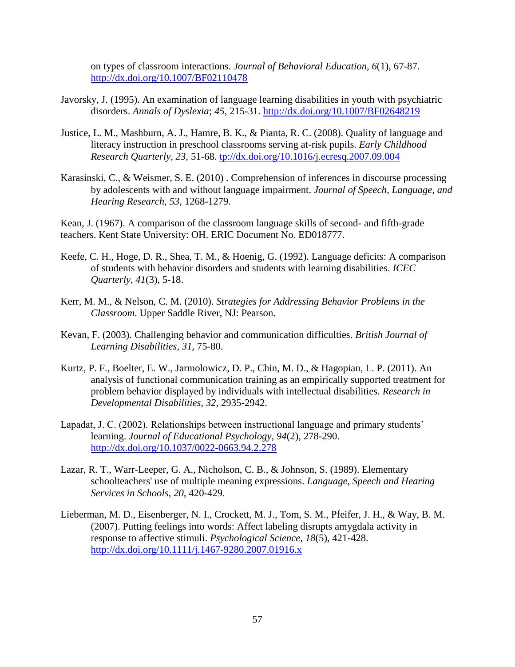on types of classroom interactions. *Journal of Behavioral Education, 6*(1), 67-87. <http://dx.doi.org/10.1007/BF02110478>

- Javorsky, J. (1995). An examination of language learning disabilities in youth with psychiatric disorders. *Annals of Dyslexia*; *45,* 215-31.<http://dx.doi.org/10.1007/BF02648219>
- Justice, L. M., Mashburn, A. J., Hamre, B. K., & Pianta, R. C. (2008). Quality of language and literacy instruction in preschool classrooms serving at-risk pupils. *Early Childhood Research Quarterly, 23,* 51-68. [tp://dx.doi.org/10.1016/j.ecresq.2007.09.004](http://dx.doi.org/10.1016/j.ecresq.2007.09.004)
- Karasinski, C., & Weismer, S. E. (2010) . Comprehension of inferences in discourse processing by adolescents with and without language impairment. *Journal of Speech, Language, and Hearing Research, 53,* 1268-1279.

Kean, J. (1967). A comparison of the classroom language skills of second- and fifth-grade teachers. Kent State University: OH. ERIC Document No. ED018777.

- Keefe, C. H., Hoge, D. R., Shea, T. M., & Hoenig, G. (1992). Language deficits: A comparison of students with behavior disorders and students with learning disabilities. *ICEC Quarterly, 41*(3), 5-18.
- Kerr, M. M., & Nelson, C. M. (2010). *Strategies for Addressing Behavior Problems in the Classroom*. Upper Saddle River, NJ: Pearson.
- Kevan, F. (2003). Challenging behavior and communication difficulties. *British Journal of Learning Disabilities, 31,* 75-80.
- Kurtz, P. F., Boelter, E. W., Jarmolowicz, D. P., Chin, M. D., & Hagopian, L. P. (2011). An analysis of functional communication training as an empirically supported treatment for problem behavior displayed by individuals with intellectual disabilities. *Research in Developmental Disabilities, 32,* 2935-2942.
- Lapadat, J. C. (2002). Relationships between instructional language and primary students' learning. *Journal of Educational Psychology, 94*(2), 278-290. <http://dx.doi.org/10.1037/0022-0663.94.2.278>
- Lazar, R. T., Warr-Leeper, G. A., Nicholson, C. B., & Johnson, S. (1989). Elementary schoolteachers' use of multiple meaning expressions. *Language, Speech and Hearing Services in Schools*, *20*, 420-429.
- Lieberman, M. D., Eisenberger, N. I., Crockett, M. J., Tom, S. M., Pfeifer, J. H., & Way, B. M. (2007). Putting feelings into words: Affect labeling disrupts amygdala activity in response to affective stimuli. *Psychological Science, 18*(5), 421-428. <http://dx.doi.org/10.1111/j.1467-9280.2007.01916.x>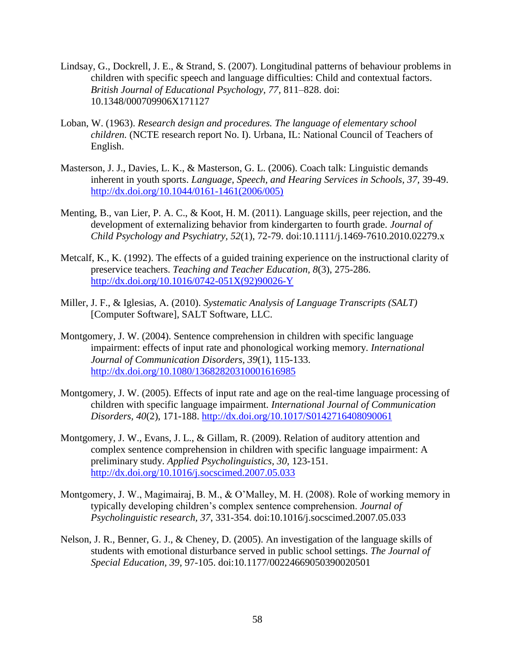- Lindsay, G., Dockrell, J. E., & Strand, S. (2007). Longitudinal patterns of behaviour problems in children with specific speech and language difficulties: Child and contextual factors. *British Journal of Educational Psychology, 77,* 811–828. doi: 10.1348/000709906X171127
- Loban, W. (1963). *Research design and procedures. The language of elementary school children.* (NCTE research report No. I). Urbana, IL: National Council of Teachers of English.
- Masterson, J. J., Davies, L. K., & Masterson, G. L. (2006). Coach talk: Linguistic demands inherent in youth sports. *Language, Speech, and Hearing Services in Schools, 37,* 39-49. [http://dx.doi.org/10.1044/0161-1461\(2006/005\)](http://dx.doi.org/10.1044/0161-1461(2006/005))
- Menting, B., van Lier, P. A. C., & Koot, H. M. (2011). Language skills, peer rejection, and the development of externalizing behavior from kindergarten to fourth grade. *Journal of Child Psychology and Psychiatry, 52*(1), 72-79. doi:10.1111/j.1469-7610.2010.02279.x
- Metcalf, K., K. (1992). The effects of a guided training experience on the instructional clarity of preservice teachers. *Teaching and Teacher Education, 8*(3), 275-286. [http://dx.doi.org/10.1016/0742-051X\(92\)90026-Y](http://dx.doi.org/10.1016/0742-051X(92)90026-Y)
- Miller, J. F., & Iglesias, A. (2010). *Systematic Analysis of Language Transcripts (SALT)*  [Computer Software], SALT Software, LLC.
- Montgomery, J. W. (2004). Sentence comprehension in children with specific language impairment: effects of input rate and phonological working memory. *International Journal of Communication Disorders, 39*(1), 115-133. <http://dx.doi.org/10.1080/13682820310001616985>
- Montgomery, J. W. (2005). Effects of input rate and age on the real-time language processing of children with specific language impairment. *International Journal of Communication Disorders, 40*(2), 171-188.<http://dx.doi.org/10.1017/S0142716408090061>
- Montgomery, J. W., Evans, J. L., & Gillam, R. (2009). Relation of auditory attention and complex sentence comprehension in children with specific language impairment: A preliminary study. *Applied Psycholinguistics, 30,* 123-151. <http://dx.doi.org/10.1016/j.socscimed.2007.05.033>
- Montgomery, J. W., Magimairaj, B. M., & O'Malley, M. H. (2008). Role of working memory in typically developing children's complex sentence comprehension. *Journal of Psycholinguistic research, 37*, 331-354. doi:10.1016/j.socscimed.2007.05.033
- Nelson, J. R., Benner, G. J., & Cheney, D. (2005). An investigation of the language skills of students with emotional disturbance served in public school settings. *The Journal of Special Education, 39,* 97-105. doi:10.1177/00224669050390020501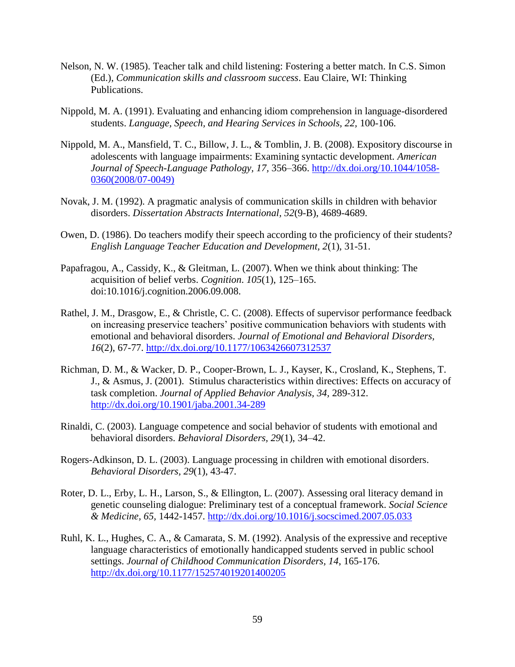- Nelson, N. W. (1985). Teacher talk and child listening: Fostering a better match. In C.S. Simon (Ed.), *Communication skills and classroom success*. Eau Claire, WI: Thinking Publications.
- Nippold, M. A. (1991). Evaluating and enhancing idiom comprehension in language-disordered students. *Language, Speech, and Hearing Services in Schools, 22,* 100-106.
- Nippold, M. A., Mansfield, T. C., Billow, J. L., & Tomblin, J. B. (2008). Expository discourse in adolescents with language impairments: Examining syntactic development. *American Journal of Speech-Language Pathology, 17,* 356–366. [http://dx.doi.org/10.1044/1058-](http://dx.doi.org/10.1044/1058-0360(2008/07-0049)) [0360\(2008/07-0049\)](http://dx.doi.org/10.1044/1058-0360(2008/07-0049))
- Novak, J. M. (1992). A pragmatic analysis of communication skills in children with behavior disorders. *Dissertation Abstracts International, 52*(9-B), 4689-4689.
- Owen, D. (1986). Do teachers modify their speech according to the proficiency of their students? *English Language Teacher Education and Development, 2*(1), 31-51.
- Papafragou, A., Cassidy, K., & Gleitman, L. (2007). When we think about thinking: The acquisition of belief verbs. *Cognition*. *105*(1), 125–165. doi:10.1016/j.cognition.2006.09.008.
- Rathel, J. M., Drasgow, E., & Christle, C. C. (2008). Effects of supervisor performance feedback on increasing preservice teachers' positive communication behaviors with students with emotional and behavioral disorders. *Journal of Emotional and Behavioral Disorders, 16*(2), 67-77.<http://dx.doi.org/10.1177/1063426607312537>
- Richman, D. M., & Wacker, D. P., Cooper-Brown, L. J., Kayser, K., Crosland, K., Stephens, T. J., & Asmus, J. (2001). Stimulus characteristics within directives: Effects on accuracy of task completion. *Journal of Applied Behavior Analysis, 34,* 289-312. <http://dx.doi.org/10.1901/jaba.2001.34-289>
- Rinaldi, C. (2003). Language competence and social behavior of students with emotional and behavioral disorders. *Behavioral Disorders, 29*(1), 34–42.
- Rogers-Adkinson, D. L. (2003). Language processing in children with emotional disorders. *Behavioral Disorders, 29*(1), 43-47.
- Roter, D. L., Erby, L. H., Larson, S., & Ellington, L. (2007). Assessing oral literacy demand in genetic counseling dialogue: Preliminary test of a conceptual framework. *Social Science & Medicine, 65,* 1442-1457.<http://dx.doi.org/10.1016/j.socscimed.2007.05.033>
- Ruhl, K. L., Hughes, C. A., & Camarata, S. M. (1992). Analysis of the expressive and receptive language characteristics of emotionally handicapped students served in public school settings. *Journal of Childhood Communication Disorders, 14*, 165-176. <http://dx.doi.org/10.1177/152574019201400205>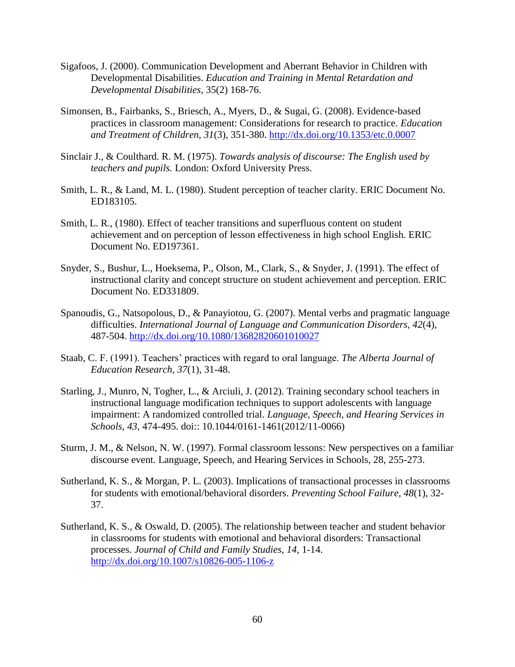- Sigafoos, J. (2000). Communication Development and Aberrant Behavior in Children with Developmental Disabilities. *Education and Training in Mental Retardation and Developmental Disabilities*, 35(2) 168-76.
- Simonsen, B., Fairbanks, S., Briesch, A., Myers, D., & Sugai, G. (2008). Evidence-based practices in classroom management: Considerations for research to practice. *Education and Treatment of Children, 31*(3), 351-380.<http://dx.doi.org/10.1353/etc.0.0007>
- Sinclair J., & Coulthard. R. M. (1975). *Towards analysis of discourse: The English used by teachers and pupils.* London: Oxford University Press.
- Smith, L. R., & Land, M. L. (1980). Student perception of teacher clarity. ERIC Document No. ED183105.
- Smith, L. R., (1980). Effect of teacher transitions and superfluous content on student achievement and on perception of lesson effectiveness in high school English. ERIC Document No. ED197361.
- Snyder, S., Bushur, L., Hoeksema, P., Olson, M., Clark, S., & Snyder, J. (1991). The effect of instructional clarity and concept structure on student achievement and perception. ERIC Document No. ED331809.
- Spanoudis, G., Natsopolous, D., & Panayiotou, G. (2007). Mental verbs and pragmatic language difficulties. *International Journal of Language and Communication Disorders, 42*(4), 487-504.<http://dx.doi.org/10.1080/13682820601010027>
- Staab, C. F. (1991). Teachers' practices with regard to oral language. *The Alberta Journal of Education Research, 37*(1), 31-48.
- Starling, J., Munro, N, Togher, L., & Arciuli, J. (2012). Training secondary school teachers in instructional language modification techniques to support adolescents with language impairment: A randomized controlled trial. *Language, Speech, and Hearing Services in Schools, 43,* 474-495. doi:: 10.1044/0161-1461(2012/11-0066)
- Sturm, J. M., & Nelson, N. W. (1997). Formal classroom lessons: New perspectives on a familiar discourse event. Language, Speech, and Hearing Services in Schools, 28, 255-273.
- Sutherland, K. S., & Morgan, P. L. (2003). Implications of transactional processes in classrooms for students with emotional/behavioral disorders. *Preventing School Failure, 48*(1), 32- 37.
- Sutherland, K. S., & Oswald, D. (2005). The relationship between teacher and student behavior in classrooms for students with emotional and behavioral disorders: Transactional processes. *Journal of Child and Family Studies, 14,* 1-14. <http://dx.doi.org/10.1007/s10826-005-1106-z>